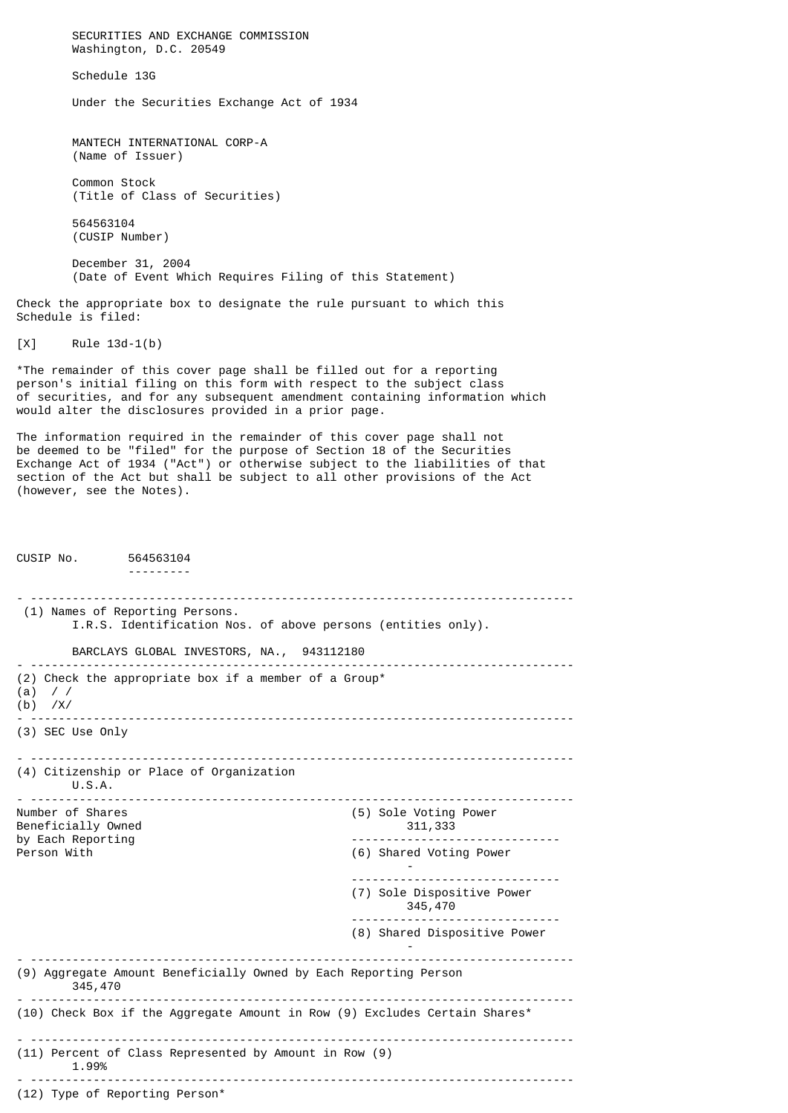SECURITIES AND EXCHANGE COMMISSION Washington, D.C. 20549 Schedule 13G Under the Securities Exchange Act of 1934 MANTECH INTERNATIONAL CORP-A (Name of Issuer) Common Stock (Title of Class of Securities) 564563104 (CUSIP Number) December 31, 2004 (Date of Event Which Requires Filing of this Statement) Check the appropriate box to designate the rule pursuant to which this Schedule is filed: [X] Rule 13d-1(b) \*The remainder of this cover page shall be filled out for a reporting person's initial filing on this form with respect to the subject class of securities, and for any subsequent amendment containing information which would alter the disclosures provided in a prior page.

The information required in the remainder of this cover page shall not be deemed to be "filed" for the purpose of Section 18 of the Securities Exchange Act of 1934 ("Act") or otherwise subject to the liabilities of that section of the Act but shall be subject to all other provisions of the Act (however, see the Notes).

CUSIP No. 564563104 --------- - ------------------------------------------------------------------------------ (1) Names of Reporting Persons. I.R.S. Identification Nos. of above persons (entities only). BARCLAYS GLOBAL INVESTORS, NA., 943112180 - ------------------------------------------------------------------------------ (2) Check the appropriate box if a member of a Group\* (a) / / (b) /X/ - ------------------------------------------------------------------------------ (3) SEC Use Only - ------------------------------------------------------------------------------ (4) Citizenship or Place of Organization U.S.A. - ------------------------------------------------------------------------------  $(5)$  Sole Voting Power<br> $311,333$ Beneficially Owned<br>by Each Reporting by Each Reporting ------------------------------ Person With (6) Shared Voting Power - ------------------------------ (7) Sole Dispositive Power 345,470 ------------------------------ (8) Shared Dispositive Power - - ------------------------------------------------------------------------------ (9) Aggregate Amount Beneficially Owned by Each Reporting Person 345,470 - ------------------------------------------------------------------------------ (10) Check Box if the Aggregate Amount in Row (9) Excludes Certain Shares\* - ------------------------------------------------------------------------------ (11) Percent of Class Represented by Amount in Row (9) 1.99% - ------------------------------------------------------------------------------ (12) Type of Reporting Person\*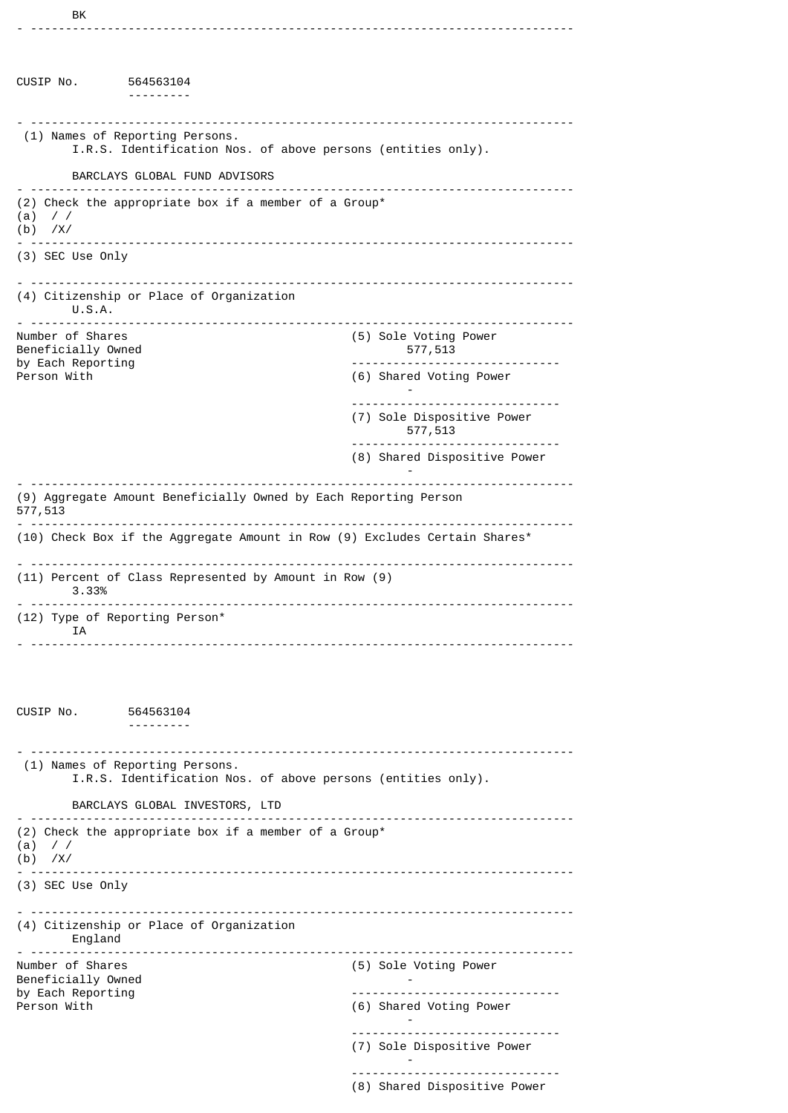CUSIP No. 564563104 --------- - ------------------------------------------------------------------------------ (1) Names of Reporting Persons. I.R.S. Identification Nos. of above persons (entities only). BARCLAYS GLOBAL FUND ADVISORS - ------------------------------------------------------------------------------ (2) Check the appropriate box if a member of a Group\* (a) / / (b) /X/ - ------------------------------------------------------------------------------ (3) SEC Use Only - ------------------------------------------------------------------------------ (4) Citizenship or Place of Organization U.S.A. - ------------------------------------------------------------------------------ (5) Sole Voting Power Beneficially Owned 577,513<br>by Each Reporting 577,513 by Each Reporting ------------------------------ Person With (6) Shared Voting Power - ------------------------------ (7) Sole Dispositive Power 577,513 ------------------------------ (8) Shared Dispositive Power - - ------------------------------------------------------------------------------ (9) Aggregate Amount Beneficially Owned by Each Reporting Person 577,513 - ------------------------------------------------------------------------------ (10) Check Box if the Aggregate Amount in Row (9) Excludes Certain Shares\* - ------------------------------------------------------------------------------ (11) Percent of Class Represented by Amount in Row (9) 3.33% - ------------------------------------------------------------------------------ (12) Type of Reporting Person\* IA - ------------------------------------------------------------------------------ CUSIP No. 564563104 --------- - ------------------------------------------------------------------------------ (1) Names of Reporting Persons. I.R.S. Identification Nos. of above persons (entities only). BARCLAYS GLOBAL INVESTORS, LTD - ------------------------------------------------------------------------------ (2) Check the appropriate box if a member of a Group\* (a) / / (b) /X/ - ------------------------------------------------------------------------------ (3) SEC Use Only - ------------------------------------------------------------------------------ (4) Citizenship or Place of Organization England - ------------------------------------------------------------------------------ (5) Sole Voting Power Beneficially Owned<br>by Each Reporting by Each Reporting and the control of the control of the control of the control of the control of the control o<br>Person With the control of the control of the control of the control of the control of the control of the contr (6) Shared Voting Power - ------------------------------ (7) Sole Dispositive Power

-

------------------------------ (8) Shared Dispositive Power

- ------------------------------------------------------------------------------

BK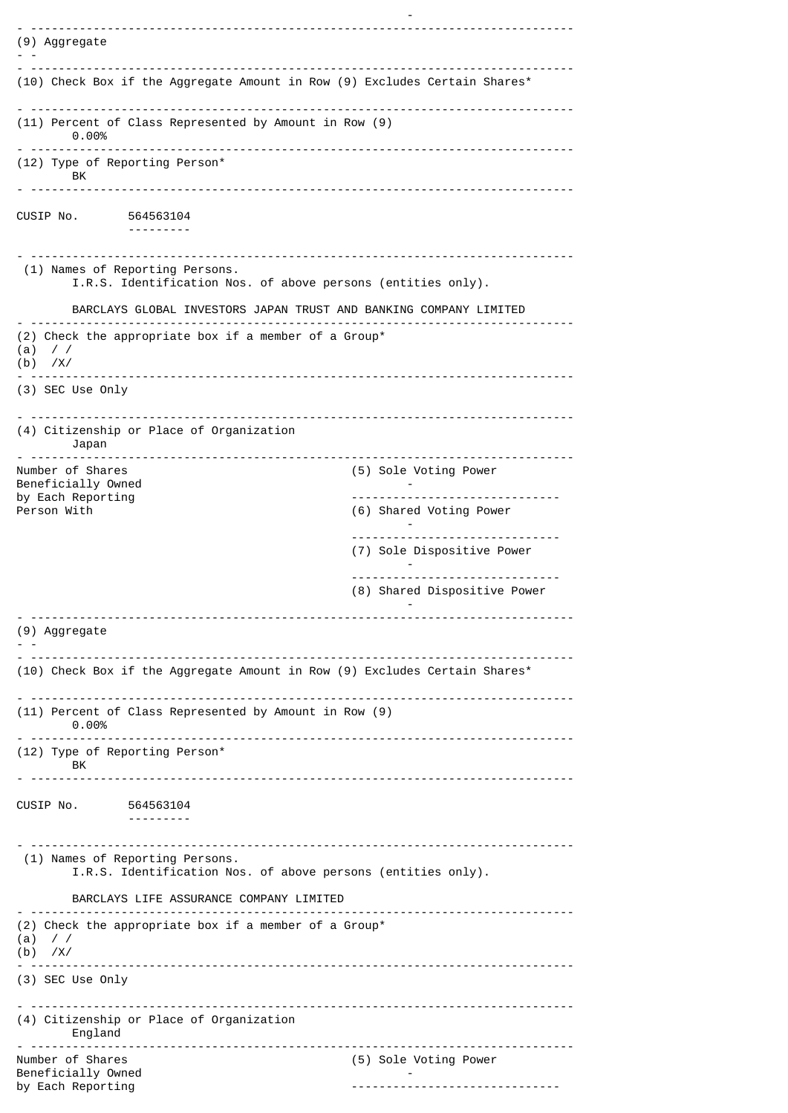| (9) Aggregate                                                                                   |
|-------------------------------------------------------------------------------------------------|
| (10) Check Box if the Aggregate Amount in Row (9) Excludes Certain Shares*                      |
| (11) Percent of Class Represented by Amount in Row (9)<br>0.00%                                 |
| (12) Type of Reporting Person*<br>BK                                                            |
|                                                                                                 |
| CUSIP No. 564563104                                                                             |
| (1) Names of Reporting Persons.<br>I.R.S. Identification Nos. of above persons (entities only). |
| BARCLAYS GLOBAL INVESTORS JAPAN TRUST AND BANKING COMPANY LIMITED                               |
| (2) Check the appropriate box if a member of a Group*<br>$(a)$ / /<br>$(b)$ /X/                 |
| $(3)$ SEC Use Only                                                                              |
| (4) Citizenship or Place of Organization<br>Japan                                               |
| Number of Shares<br>(5) Sole Voting Power<br>Beneficially Owned                                 |
| by Each Reporting<br>--------------------------------<br>Person With<br>(6) Shared Voting Power |
| (7) Sole Dispositive Power                                                                      |
| (8) Shared Dispositive Power                                                                    |
| (9) Aggregate                                                                                   |
| (10) Check Box if the Aggregate Amount in Row (9) Excludes Certain Shares*                      |
| (11) Percent of Class Represented by Amount in Row (9)<br>0.00%                                 |
| (12) Type of Reporting Person*<br>BK.                                                           |
| CUSIP No. 564563104<br>---------                                                                |
| (1) Names of Reporting Persons.<br>I.R.S. Identification Nos. of above persons (entities only). |
| BARCLAYS LIFE ASSURANCE COMPANY LIMITED<br>------------------------                             |
| (2) Check the appropriate box if a member of a Group*<br>(a)<br>$\frac{1}{2}$<br>$(b)$ /X/      |
| (3) SEC Use Only                                                                                |
| (4) Citizenship or Place of Organization<br>England                                             |
| Number of Shares<br>(5) Sole Voting Power<br>Beneficially Owned<br>by Each Reporting            |

-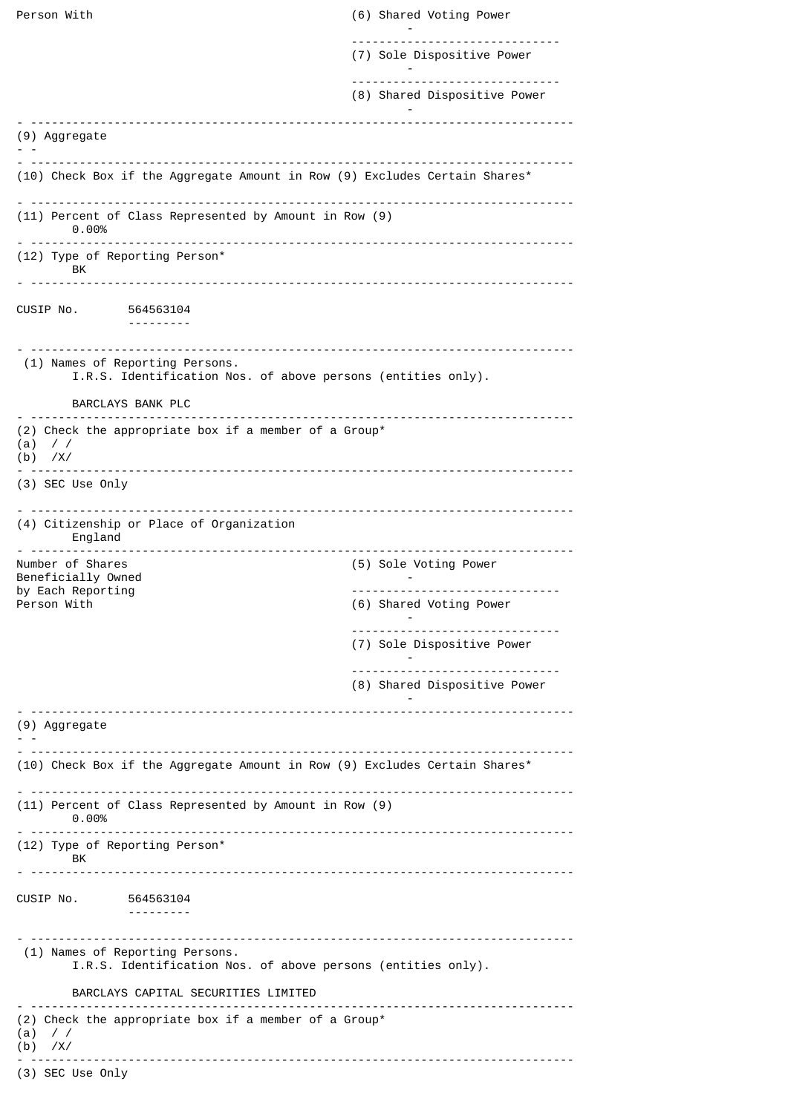| Person With                                                                                          | (6) Shared Voting Power                                         |
|------------------------------------------------------------------------------------------------------|-----------------------------------------------------------------|
|                                                                                                      | (7) Sole Dispositive Power                                      |
|                                                                                                      | (8) Shared Dispositive Power                                    |
| (9) Aggregate                                                                                        |                                                                 |
| (10) Check Box if the Aggregate Amount in Row (9) Excludes Certain Shares*                           |                                                                 |
| (11) Percent of Class Represented by Amount in Row (9)<br>0.00%                                      |                                                                 |
| (12) Type of Reporting Person*<br>BK                                                                 |                                                                 |
| CUSIP No. 564563104                                                                                  |                                                                 |
| (1) Names of Reporting Persons.<br>I.R.S. Identification Nos. of above persons (entities only).      |                                                                 |
| BARCLAYS BANK PLC                                                                                    |                                                                 |
| (2) Check the appropriate box if a member of a Group*<br>$\frac{1}{2}$<br>(a)<br>$(b)$ /X/           |                                                                 |
| (3) SEC Use Only                                                                                     |                                                                 |
| (4) Citizenship or Place of Organization<br>England                                                  |                                                                 |
| .                                                                                                    |                                                                 |
| Number of Shares<br>Beneficially Owned                                                               | (5) Sole Voting Power                                           |
| by Each Reporting<br>Person With                                                                     | -------------------------------<br>(6) Shared Voting Power      |
|                                                                                                      | (7) Sole Dispositive Power                                      |
|                                                                                                      | -------------------------------<br>(8) Shared Dispositive Power |
| (9) Aggregate                                                                                        |                                                                 |
| (10) Check Box if the Aggregate Amount in Row (9) Excludes Certain Shares*                           |                                                                 |
| (11) Percent of Class Represented by Amount in Row (9)<br>0.00%                                      |                                                                 |
| (12) Type of Reporting Person*<br>BK.                                                                |                                                                 |
| CUSIP No. 564563104                                                                                  |                                                                 |
| .<br>(1) Names of Reporting Persons.<br>I.R.S. Identification Nos. of above persons (entities only). |                                                                 |
| BARCLAYS CAPITAL SECURITIES LIMITED                                                                  |                                                                 |
| (2) Check the appropriate box if a member of a Group*<br>(a)<br>$\frac{1}{2}$<br>$(b)$ /X/           |                                                                 |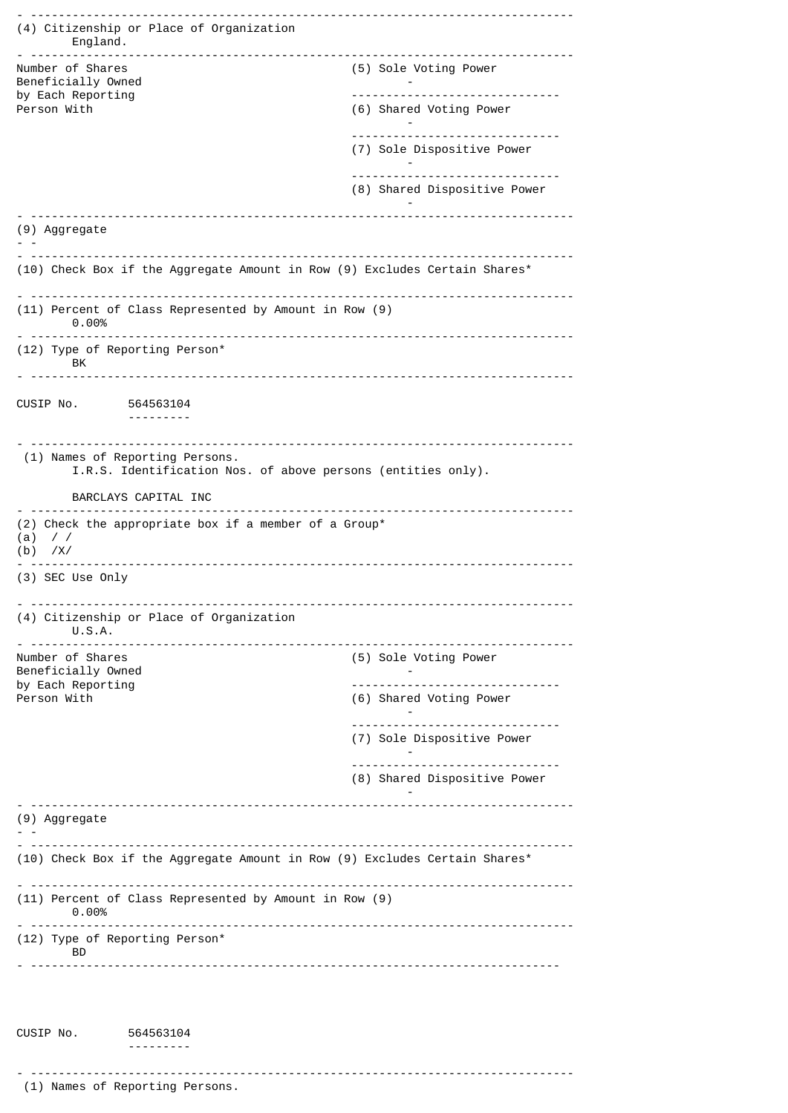- ------------------------------------------------------------------------------ (4) Citizenship or Place of Organization England. - ------------------------------------------------------------------------------ (5) Sole Voting Power Beneficially Owned<br>by Each Reporting by Each Reporting<br>Person With (6) Shared Voting Power - ------------------------------ (7) Sole Dispositive Power - ------------------------------ (8) Shared Dispositive Power - - ------------------------------------------------------------------------------ (9) Aggregate - - - ------------------------------------------------------------------------------ (10) Check Box if the Aggregate Amount in Row (9) Excludes Certain Shares\* - ------------------------------------------------------------------------------ (11) Percent of Class Represented by Amount in Row (9) 0.00% - ------------------------------------------------------------------------------ (12) Type of Reporting Person\* BK - ------------------------------------------------------------------------------ CUSIP No. 564563104 --------- - ------------------------------------------------------------------------------ (1) Names of Reporting Persons. I.R.S. Identification Nos. of above persons (entities only). BARCLAYS CAPITAL INC - ------------------------------------------------------------------------------ (2) Check the appropriate box if a member of a Group\* (a) / / (b) /X/ - ------------------------------------------------------------------------------ (3) SEC Use Only - ------------------------------------------------------------------------------ (4) Citizenship or Place of Organization U.S.A. - ------------------------------------------------------------------------------ (5) Sole Voting Power Beneficially Owned<br>by Each Reporting by Each Reporting and the control of the control of the control of the control of the control of the control o<br>Person With the control of the control of the control of the control of the control of the control of the contr (6) Shared Voting Power - ------------------------------ (7) Sole Dispositive Power - ------------------------------ (8) Shared Dispositive Power - - ------------------------------------------------------------------------------ (9) Aggregate - - - ------------------------------------------------------------------------------ (10) Check Box if the Aggregate Amount in Row (9) Excludes Certain Shares\* - ------------------------------------------------------------------------------ (11) Percent of Class Represented by Amount in Row (9) 0.00% - ------------------------------------------------------------------------------ (12) Type of Reporting Person\* BD - ---------------------------------------------------------------------------- CUSIP No. 564563104 --------- - ------------------------------------------------------------------------------

(1) Names of Reporting Persons.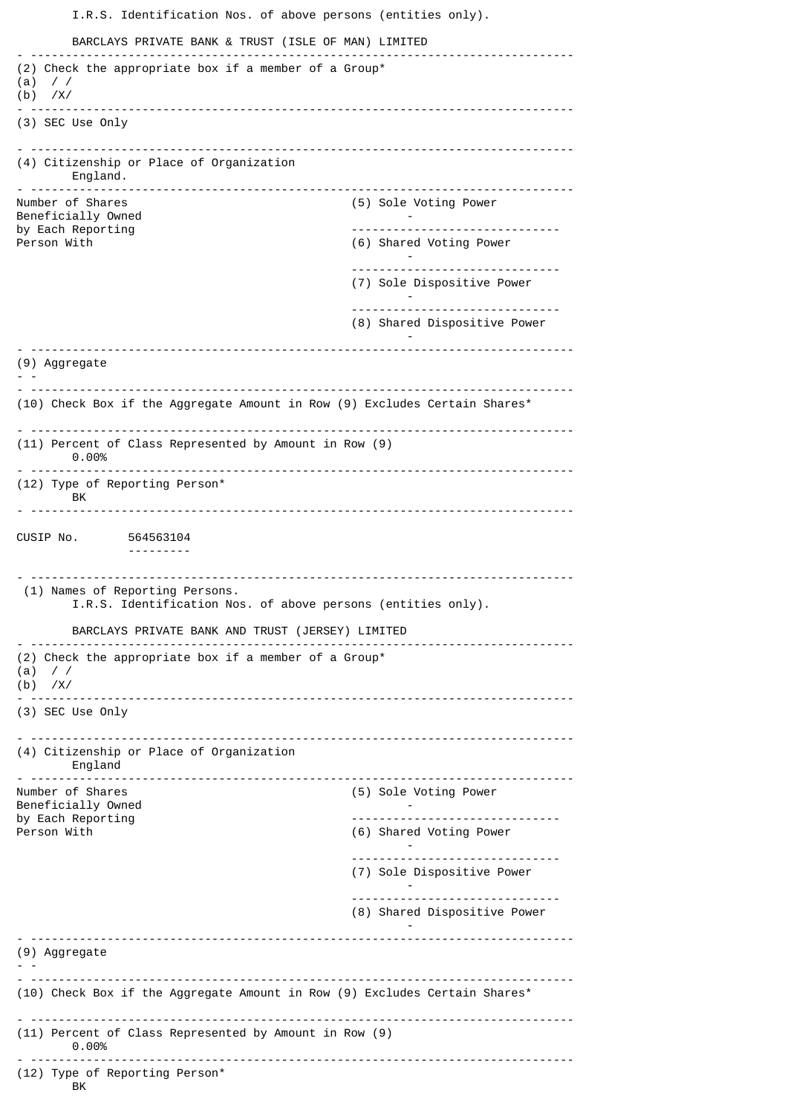I.R.S. Identification Nos. of above persons (entities only). BARCLAYS PRIVATE BANK & TRUST (ISLE OF MAN) LIMITED - ------------------------------------------------------------------------------ (2) Check the appropriate box if a member of a Group\* (a) / / (b) /X/ - ------------------------------------------------------------------------------ (3) SEC Use Only - ------------------------------------------------------------------------------ (4) Citizenship or Place of Organization England. - ------------------------------------------------------------------------------ (5) Sole Voting Power Beneficially Owned and the set of the set of the set of the set of the set of the set of the set of the set of the set of the set of the set of the set of the set of the set of the set of the set of the set of the set of t by Each Reporting and the control of the control of the control of the control of the control of the control o<br>Person With the control of the control of the control of the control of the control of the control of the contr (6) Shared Voting Power - ------------------------------ (7) Sole Dispositive Power - ------------------------------ (8) Shared Dispositive Power - - ------------------------------------------------------------------------------ (9) Aggregate - - - ------------------------------------------------------------------------------ (10) Check Box if the Aggregate Amount in Row (9) Excludes Certain Shares\* - ------------------------------------------------------------------------------ (11) Percent of Class Represented by Amount in Row (9) 0.00% - ------------------------------------------------------------------------------ (12) Type of Reporting Person\* BK - ------------------------------------------------------------------------------ CUSIP No. 564563104 --------- - ------------------------------------------------------------------------------ (1) Names of Reporting Persons. I.R.S. Identification Nos. of above persons (entities only). BARCLAYS PRIVATE BANK AND TRUST (JERSEY) LIMITED - ------------------------------------------------------------------------------ (2) Check the appropriate box if a member of a Group\*  $(a) / /$ (b) /X/ - ------------------------------------------------------------------------------ (3) SEC Use Only - ------------------------------------------------------------------------------ (4) Citizenship or Place of Organization England - ------------------------------------------------------------------------------ (5) Sole Voting Power Beneficially Owned by Each Reporting and the control of the control of the control of the control of the control of the control o<br>Person With the control of the control of the control of the control of the control of the control of the contr (6) Shared Voting Power - ------------------------------ (7) Sole Dispositive Power - ------------------------------ (8) Shared Dispositive Power -  $-$ (9) Aggregate - - - ------------------------------------------------------------------------------ (10) Check Box if the Aggregate Amount in Row (9) Excludes Certain Shares\* - ------------------------------------------------------------------------------ (11) Percent of Class Represented by Amount in Row (9) 0.00% - ------------------------------------------------------------------------------ (12) Type of Reporting Person\* BK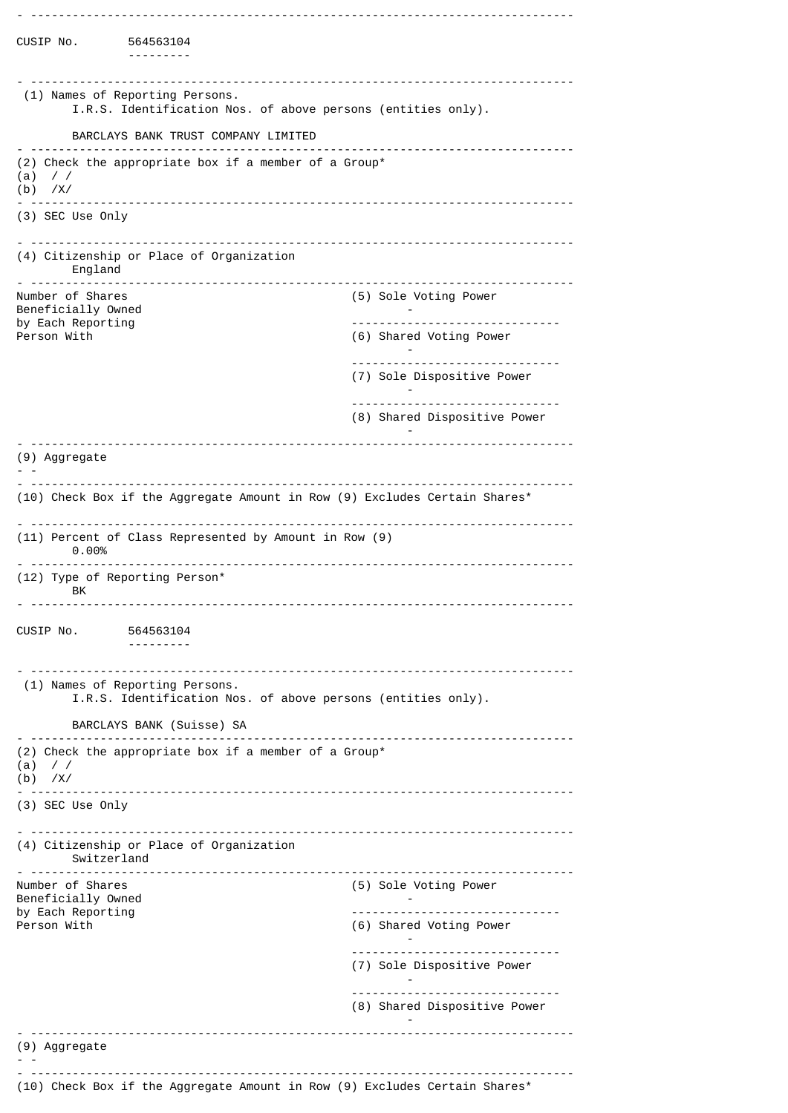| CUSIP No.                                            | 564563104<br>---------                                                                          |                              |
|------------------------------------------------------|-------------------------------------------------------------------------------------------------|------------------------------|
|                                                      | (1) Names of Reporting Persons.<br>I.R.S. Identification Nos. of above persons (entities only). |                              |
|                                                      | BARCLAYS BANK TRUST COMPANY LIMITED                                                             |                              |
| $\frac{1}{2}$<br>(a)<br>$(b)$ /X/                    | (2) Check the appropriate box if a member of a Group*                                           |                              |
| (3) SEC Use Only                                     |                                                                                                 |                              |
|                                                      | (4) Citizenship or Place of Organization<br>England                                             |                              |
| ----------<br>Number of Shares<br>Beneficially Owned |                                                                                                 | (5) Sole Voting Power        |
| by Each Reporting<br>Person With                     |                                                                                                 | (6) Shared Voting Power      |
|                                                      |                                                                                                 | (7) Sole Dispositive Power   |
|                                                      |                                                                                                 | (8) Shared Dispositive Power |
| (9) Aggregate                                        |                                                                                                 |                              |
|                                                      | (10) Check Box if the Aggregate Amount in Row (9) Excludes Certain Shares*                      |                              |
|                                                      | (11) Percent of Class Represented by Amount in Row (9)<br>0.00%                                 |                              |
| ВK                                                   | (12) Type of Reporting Person*                                                                  |                              |
| CUSIP No.                                            | 564563104                                                                                       |                              |
|                                                      | (1) Names of Reporting Persons.<br>I.R.S. Identification Nos. of above persons (entities only). |                              |
|                                                      | BARCLAYS BANK (Suisse) SA                                                                       |                              |
| (a)<br>$\prime$ /<br>$(b)$ /X/                       | (2) Check the appropriate box if a member of a Group*                                           |                              |
| (3) SEC Use Only                                     | <u></u>                                                                                         |                              |
|                                                      | (4) Citizenship or Place of Organization<br>Switzerland                                         |                              |
| Number of Shares<br>Beneficially Owned               |                                                                                                 | (5) Sole Voting Power        |
| by Each Reporting<br>Person With                     |                                                                                                 | (6) Shared Voting Power      |
|                                                      |                                                                                                 | (7) Sole Dispositive Power   |
|                                                      |                                                                                                 | (8) Shared Dispositive Power |
| (9) Aggregate                                        |                                                                                                 |                              |
|                                                      | (10) Check Box if the Aggregate Amount in Row (9) Excludes Certain Shares*                      |                              |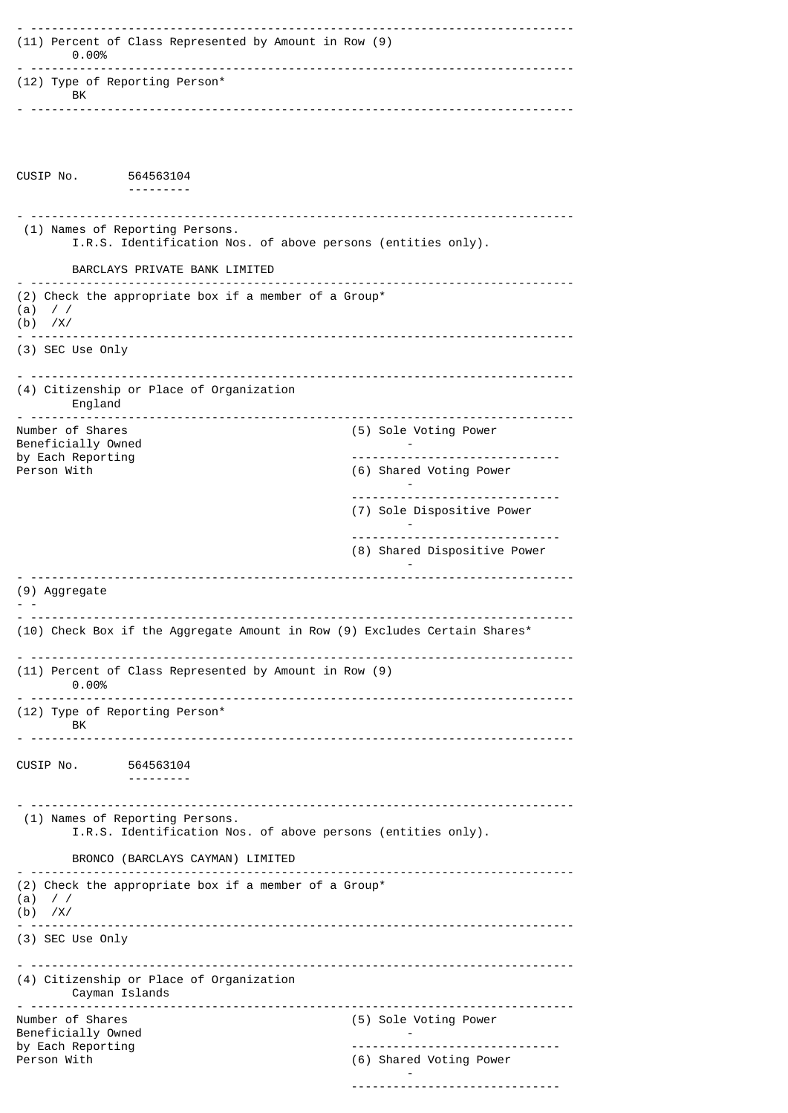| (11) Percent of Class Represented by Amount in Row (9)<br>$0.00\%$                              |                              |
|-------------------------------------------------------------------------------------------------|------------------------------|
| <u> - - - - - - - - - - - - - -</u><br>(12) Type of Reporting Person*<br>BK                     |                              |
|                                                                                                 |                              |
| CUSIP No. 564563104                                                                             |                              |
| (1) Names of Reporting Persons.<br>I.R.S. Identification Nos. of above persons (entities only). |                              |
| BARCLAYS PRIVATE BANK LIMITED                                                                   |                              |
| (2) Check the appropriate box if a member of a Group*<br>(a)<br>$\frac{1}{2}$<br>$(b)$ /X/      |                              |
| (3) SEC Use Only                                                                                |                              |
| (4) Citizenship or Place of Organization<br>England                                             |                              |
| Number of Shares<br>Beneficially Owned                                                          | (5) Sole Voting Power        |
| by Each Reporting<br>Person With                                                                | (6) Shared Voting Power      |
|                                                                                                 | (7) Sole Dispositive Power   |
|                                                                                                 | (8) Shared Dispositive Power |
| (9) Aggregate                                                                                   |                              |
| (10) Check Box if the Aggregate Amount in Row (9) Excludes Certain Shares*                      |                              |
| (11) Percent of Class Represented by Amount in Row (9)<br>0.00%                                 | -------------                |
| (12) Type of Reporting Person*<br>BK.                                                           |                              |
|                                                                                                 |                              |
| CUSIP No. 564563104                                                                             |                              |
| (1) Names of Reporting Persons.<br>I.R.S. Identification Nos. of above persons (entities only). |                              |
| BRONCO (BARCLAYS CAYMAN) LIMITED                                                                |                              |
| (2) Check the appropriate box if a member of a Group*<br>(a)<br>$\frac{1}{2}$<br>$(b)$ /X/      |                              |
| (3) SEC Use Only                                                                                |                              |
| (4) Citizenship or Place of Organization<br>Cayman Islands                                      |                              |
| ---------------------------<br>Number of Shares<br>Beneficially Owned                           | (5) Sole Voting Power        |
| by Each Reporting<br>Person With                                                                | .<br>(6) Shared Voting Power |
|                                                                                                 |                              |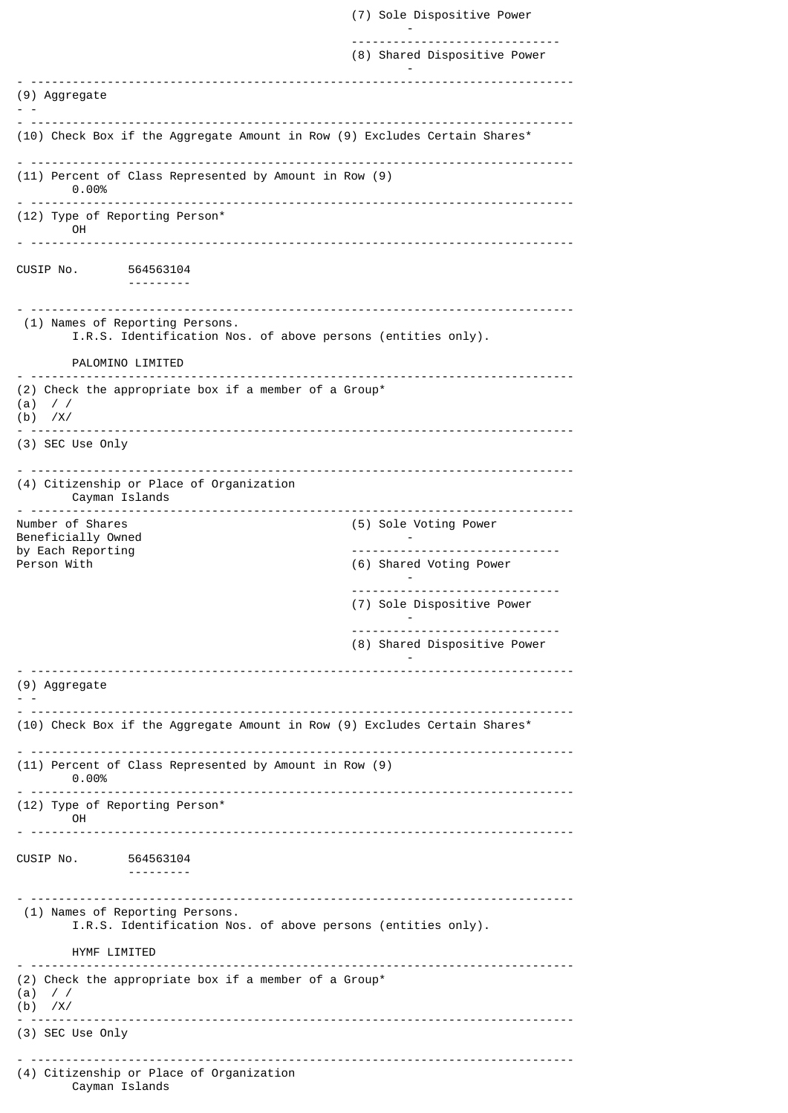(7) Sole Dispositive Power - ------------------------------ (8) Shared Dispositive Power - - ------------------------------------------------------------------------------ (9) Aggregate - - - ------------------------------------------------------------------------------ (10) Check Box if the Aggregate Amount in Row (9) Excludes Certain Shares\* - ------------------------------------------------------------------------------ (11) Percent of Class Represented by Amount in Row (9) 0.00% - ------------------------------------------------------------------------------ (12) Type of Reporting Person\* OH - ------------------------------------------------------------------------------ CUSIP No. 564563104 --------- - ------------------------------------------------------------------------------ (1) Names of Reporting Persons. I.R.S. Identification Nos. of above persons (entities only). PALOMINO LIMITED - ------------------------------------------------------------------------------ (2) Check the appropriate box if a member of a Group\* (a) / / (b) /X/ - ------------------------------------------------------------------------------ (3) SEC Use Only - ------------------------------------------------------------------------------ (4) Citizenship or Place of Organization Cayman Islands - ------------------------------------------------------------------------------ (5) Sole Voting Power Beneficially Owned and the set of the set of the set of the set of the set of the set of the set of the set of the set of the set of the set of the set of the set of the set of the set of the set of the set of the set of t by Each Reporting and the control of the control of the control of the control of the control of the control o<br>Person With the control of the control of the control of the control of the control of the control of the contr (6) Shared Voting Power - ------------------------------ (7) Sole Dispositive Power - ------------------------------ (8) Shared Dispositive Power -  $-$ (9) Aggregate - - - ------------------------------------------------------------------------------ (10) Check Box if the Aggregate Amount in Row (9) Excludes Certain Shares\* - ------------------------------------------------------------------------------ (11) Percent of Class Represented by Amount in Row (9) 0.00% - ------------------------------------------------------------------------------ (12) Type of Reporting Person\* OH - ------------------------------------------------------------------------------ CUSIP No. 564563104 --------- - ------------------------------------------------------------------------------ (1) Names of Reporting Persons. I.R.S. Identification Nos. of above persons (entities only). HYMF LIMITED - ------------------------------------------------------------------------------ (2) Check the appropriate box if a member of a Group\*  $(a)$  / / (b) /X/ - ------------------------------------------------------------------------------ (3) SEC Use Only - ------------------------------------------------------------------------------ (4) Citizenship or Place of Organization Cayman Islands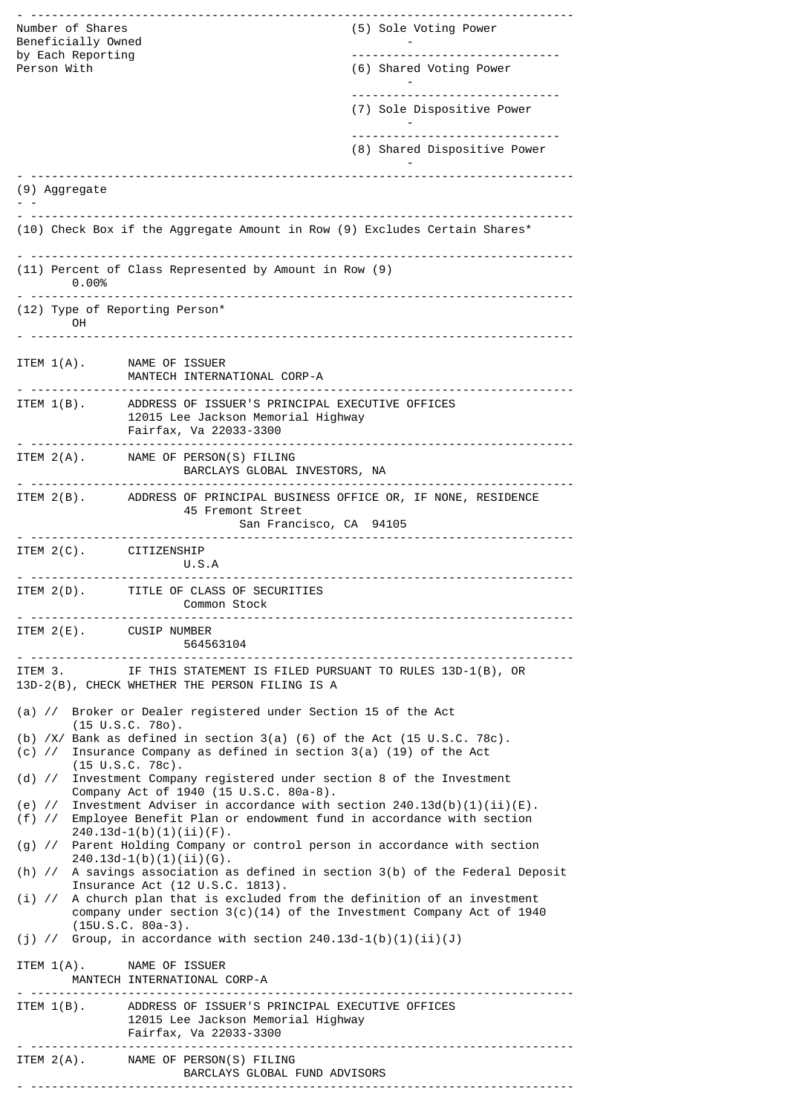| Number of Shares<br>Beneficially Owned<br>by Each Reporting<br>Person With |                                                                                                                                                                                   | ----------------------------<br>(5) Sole Voting Power<br>-------------------------------<br>(6) Shared Voting Power |
|----------------------------------------------------------------------------|-----------------------------------------------------------------------------------------------------------------------------------------------------------------------------------|---------------------------------------------------------------------------------------------------------------------|
|                                                                            |                                                                                                                                                                                   | (7) Sole Dispositive Power                                                                                          |
|                                                                            |                                                                                                                                                                                   | (8) Shared Dispositive Power                                                                                        |
| (9) Aggregate                                                              | ------------------------------------                                                                                                                                              |                                                                                                                     |
|                                                                            | (10) Check Box if the Aggregate Amount in Row (9) Excludes Certain Shares*                                                                                                        |                                                                                                                     |
| 0.00%                                                                      | (11) Percent of Class Represented by Amount in Row (9)                                                                                                                            |                                                                                                                     |
| (12) Type of Reporting Person*<br>OH                                       |                                                                                                                                                                                   |                                                                                                                     |
| ITEM 1(A). NAME OF ISSUER                                                  | MANTECH INTERNATIONAL CORP-A                                                                                                                                                      |                                                                                                                     |
| ITEM 1(B).                                                                 | ADDRESS OF ISSUER'S PRINCIPAL EXECUTIVE OFFICES<br>12015 Lee Jackson Memorial Highway<br>Fairfax, Va 22033-3300                                                                   |                                                                                                                     |
|                                                                            | ITEM 2(A). NAME OF PERSON(S) FILING<br>BARCLAYS GLOBAL INVESTORS, NA                                                                                                              |                                                                                                                     |
|                                                                            | ITEM 2(B). ADDRESS OF PRINCIPAL BUSINESS OFFICE OR, IF NONE, RESIDENCE<br>45 Fremont Street<br>San Francisco, CA 94105                                                            |                                                                                                                     |
| ITEM 2(C). CITIZENSHIP                                                     | U.S.A                                                                                                                                                                             |                                                                                                                     |
| .                                                                          | ITEM 2(D). TITLE OF CLASS OF SECURITIES<br><b>Common Stock</b>                                                                                                                    |                                                                                                                     |
| ITEM 2(E). CUSIP NUMBER                                                    | 564563104                                                                                                                                                                         |                                                                                                                     |
|                                                                            | ITEM 3. IF THIS STATEMENT IS FILED PURSUANT TO RULES 13D-1(B), OR<br>13D-2(B), CHECK WHETHER THE PERSON FILING IS A                                                               |                                                                                                                     |
|                                                                            | (a) // Broker or Dealer registered under Section 15 of the Act<br>$(15 \cup S.C. 780)$ .                                                                                          |                                                                                                                     |
| (c) $\frac{1}{2}$                                                          | (b) $/X/$ Bank as defined in section 3(a) (6) of the Act (15 U.S.C. 78c).<br>Insurance Company as defined in section $3(a)$ (19) of the Act<br>$(15 \tU.S.C. 78c)$ .              |                                                                                                                     |
| (d) $\frac{1}{2}$                                                          | Investment Company registered under section 8 of the Investment<br>Company Act of 1940 (15 U.S.C. 80a-8).                                                                         |                                                                                                                     |
| (e) $\frac{1}{2}$                                                          | Investment Adviser in accordance with section $240.13d(b)(1)(ii)(E)$ .<br>(f) // Employee Benefit Plan or endowment fund in accordance with section<br>$240.13d-1(b)(1)(ii)(F)$ . |                                                                                                                     |
|                                                                            | (g) // Parent Holding Company or control person in accordance with section<br>$240.13d-1(b)(1)(ii)(6)$ .                                                                          |                                                                                                                     |
|                                                                            | (h) // A savings association as defined in section 3(b) of the Federal Deposit<br>Insurance Act (12 U.S.C. 1813).                                                                 |                                                                                                                     |
|                                                                            | $(i)$ // A church plan that is excluded from the definition of an investment<br>company under section $3(c)(14)$ of the Investment Company Act of 1940<br>$(15U.S.C. 80a-3).$     |                                                                                                                     |
| ITEM 1(A). NAME OF ISSUER                                                  | (j) // Group, in accordance with section $240.13d-1(b)(1)(ii)(J)$                                                                                                                 |                                                                                                                     |
|                                                                            | MANTECH INTERNATIONAL CORP-A                                                                                                                                                      |                                                                                                                     |
|                                                                            | ITEM 1(B). ADDRESS OF ISSUER'S PRINCIPAL EXECUTIVE OFFICES<br>12015 Lee Jackson Memorial Highway<br>Fairfax, Va 22033-3300                                                        |                                                                                                                     |
|                                                                            | ITEM 2(A). NAME OF PERSON(S) FILING<br>BARCLAYS GLOBAL FUND ADVISORS                                                                                                              |                                                                                                                     |
|                                                                            |                                                                                                                                                                                   |                                                                                                                     |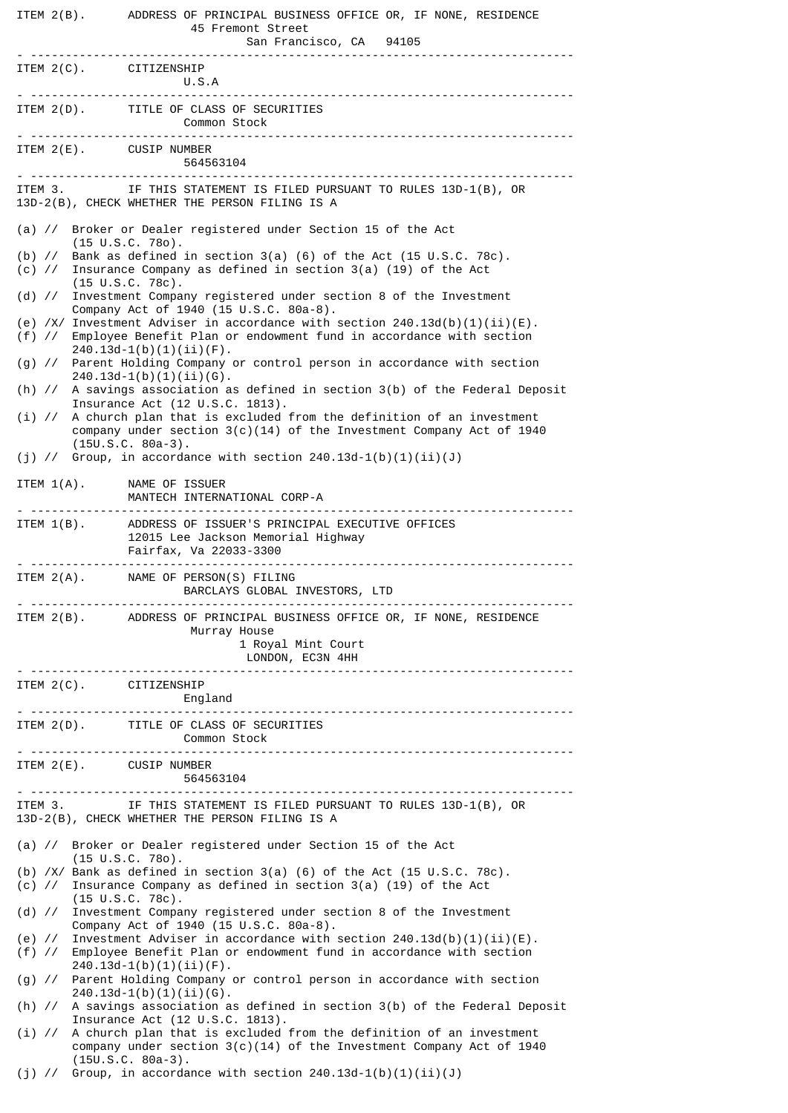|                                      | ITEM 2(B). ADDRESS OF PRINCIPAL BUSINESS OFFICE OR, IF NONE, RESIDENCE<br>45 Fremont Street<br>San Francisco, CA 94105                                                                    |
|--------------------------------------|-------------------------------------------------------------------------------------------------------------------------------------------------------------------------------------------|
| ITEM 2(C). CITIZENSHIP               | U.S.A                                                                                                                                                                                     |
|                                      | ITEM 2(D). TITLE OF CLASS OF SECURITIES<br>Common Stock                                                                                                                                   |
| ITEM 2(E). CUSIP NUMBER              | 564563104                                                                                                                                                                                 |
|                                      | ITEM 3. IF THIS STATEMENT IS FILED PURSUANT TO RULES 13D-1(B), OR<br>13D-2(B), CHECK WHETHER THE PERSON FILING IS A                                                                       |
|                                      | (a) // Broker or Dealer registered under Section 15 of the Act<br>$(15 \cup S.C. 780)$ .                                                                                                  |
|                                      | (b) $\frac{1}{5}$ Bank as defined in section 3(a) (6) of the Act (15 U.S.C. 78c).<br>(c) // Insurance Company as defined in section 3(a) (19) of the Act<br>$(15 \tU.S.C. 78c).$          |
|                                      | (d) // Investment Company registered under section 8 of the Investment<br>Company Act of 1940 (15 U.S.C. 80a-8).                                                                          |
|                                      | (e) /X/ Investment Adviser in accordance with section $240.13d(b)(1)(ii)(E)$ .<br>(f) // Employee Benefit Plan or endowment fund in accordance with section<br>$240.13d-1(b)(1)(ii)(F)$ . |
|                                      | (g) // Parent Holding Company or control person in accordance with section<br>$240.13d-1(b)(1)(ii)(G)$ .                                                                                  |
|                                      | (h) // A savings association as defined in section 3(b) of the Federal Deposit<br>Insurance Act (12 U.S.C. 1813).                                                                         |
| $(i)$ //                             | A church plan that is excluded from the definition of an investment<br>company under section $3(c)(14)$ of the Investment Company Act of 1940<br>$(15U.S.C. 80a-3).$                      |
|                                      | (j) // Group, in accordance with section $240.13d-1(b)(1)(ii)(J)$                                                                                                                         |
|                                      | ITEM 1(A). NAME OF ISSUER<br>MANTECH INTERNATIONAL CORP-A                                                                                                                                 |
|                                      | ITEM 1(B). ADDRESS OF ISSUER'S PRINCIPAL EXECUTIVE OFFICES<br>12015 Lee Jackson Memorial Highway<br>Fairfax, Va 22033-3300                                                                |
|                                      | ITEM 2(A). NAME OF PERSON(S) FILING<br>BARCLAYS GLOBAL INVESTORS, LTD                                                                                                                     |
|                                      | ITEM 2(B). ADDRESS OF PRINCIPAL BUSINESS OFFICE OR, IF NONE, RESIDENCE<br>Murray House<br>1 Royal Mint Court<br>LONDON, EC3N 4HH                                                          |
| ITEM 2(C). CITIZENSHIP               | England<br><u>. </u>                                                                                                                                                                      |
|                                      | ITEM 2(D). TITLE OF CLASS OF SECURITIES<br><b>Common Stock</b>                                                                                                                            |
| ITEM 2(E). CUSIP NUMBER<br><u>. </u> | 564563104                                                                                                                                                                                 |
| ITEM 3.                              | IF THIS STATEMENT IS FILED PURSUANT TO RULES 13D-1(B), OR<br>13D-2(B), CHECK WHETHER THE PERSON FILING IS A                                                                               |
|                                      | (a) // Broker or Dealer registered under Section 15 of the Act<br>$(15 \cup S.C. 780)$ .                                                                                                  |
| $(c)$ //                             | (b) $/XY$ Bank as defined in section 3(a) (6) of the Act (15 U.S.C. 78c).<br>Insurance Company as defined in section $3(a)$ (19) of the Act<br>$(15 \cup S.C. 78c)$ .                     |
|                                      | (d) // Investment Company registered under section 8 of the Investment<br>Company Act of 1940 (15 U.S.C. 80a-8).                                                                          |
|                                      | (e) // Investment Adviser in accordance with section $240.13d(b)(1)(ii)(E)$ .<br>(f) // Employee Benefit Plan or endowment fund in accordance with section<br>$240.13d-1(b)(1)(ii)(F)$ .  |
|                                      | (g) // Parent Holding Company or control person in accordance with section<br>$240.13d-1(b)(1)(ii)(G)$ .                                                                                  |
|                                      | (h) // A savings association as defined in section 3(b) of the Federal Deposit<br>Insurance Act (12 U.S.C. 1813).                                                                         |
| $(i)$ //                             | A church plan that is excluded from the definition of an investment<br>company under section $3(c)(14)$ of the Investment Company Act of 1940                                             |
|                                      | $(15U.S.C. 80a-3).$<br>(j) // Group, in accordance with section $240.13d-1(b)(1)(ii)(J)$                                                                                                  |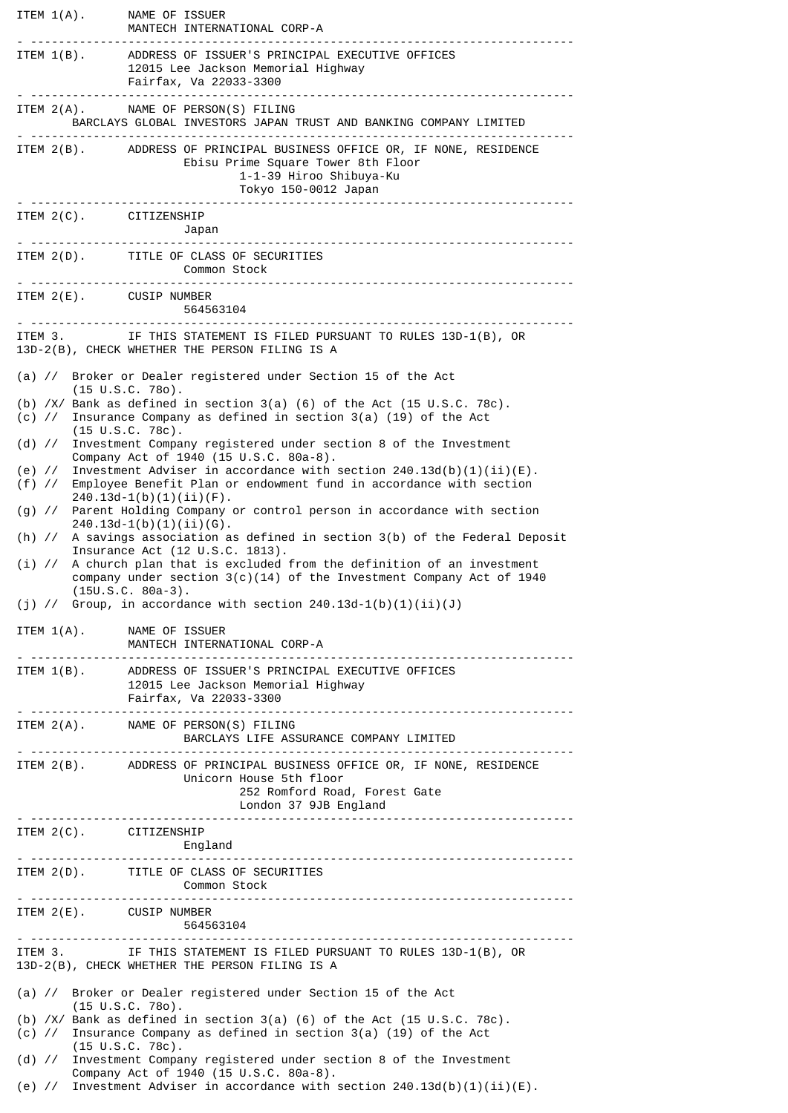| ITEM 1(A). NAME OF ISSUER     | MANTECH INTERNATIONAL CORP-A                                                                                                                                                                |
|-------------------------------|---------------------------------------------------------------------------------------------------------------------------------------------------------------------------------------------|
|                               | ITEM 1(B). ADDRESS OF ISSUER'S PRINCIPAL EXECUTIVE OFFICES<br>12015 Lee Jackson Memorial Highway<br>Fairfax, Va 22033-3300<br>-------------------------------------                         |
|                               | ITEM 2(A). NAME OF PERSON(S) FILING<br>BARCLAYS GLOBAL INVESTORS JAPAN TRUST AND BANKING COMPANY LIMITED                                                                                    |
|                               | ITEM 2(B). ADDRESS OF PRINCIPAL BUSINESS OFFICE OR, IF NONE, RESIDENCE<br>Ebisu Prime Square Tower 8th Floor<br>1-1-39 Hiroo Shibuya-Ku<br>Tokyo 150-0012 Japan                             |
| ITEM 2(C). CITIZENSHIP        |                                                                                                                                                                                             |
|                               | ITEM 2(D). TITLE OF CLASS OF SECURITIES<br><b>Common Stock</b>                                                                                                                              |
| ITEM 2(E). CUSIP NUMBER       | 564563104                                                                                                                                                                                   |
|                               | ITEM 3. IF THIS STATEMENT IS FILED PURSUANT TO RULES 13D-1(B), OR<br>13D-2(B), CHECK WHETHER THE PERSON FILING IS A                                                                         |
|                               | (a) // Broker or Dealer registered under Section 15 of the Act                                                                                                                              |
| (c) $\frac{1}{2}$             | $(15 \cup S.C. 780)$ .<br>(b) /X/ Bank as defined in section 3(a) (6) of the Act (15 U.S.C. 78c).<br>Insurance Company as defined in section 3(a) (19) of the Act<br>$(15 \cup S.C. 78c)$ . |
|                               | (d) // Investment Company registered under section 8 of the Investment<br>Company Act of 1940 (15 U.S.C. 80a-8).                                                                            |
| (e) $\frac{1}{2}$<br>$(f)$ // | Investment Adviser in accordance with section $240.13d(b)(1)(ii)(E)$ .<br>Employee Benefit Plan or endowment fund in accordance with section                                                |
| $(g)$ //                      | $240.13d-1(b)(1)(ii)(F)$ .<br>Parent Holding Company or control person in accordance with section                                                                                           |
|                               | $240.13d-1(b)(1)(ii)(6)$ .<br>(h) // A savings association as defined in section 3(b) of the Federal Deposit<br>Insurance Act (12 U.S.C. 1813).                                             |
|                               | $(i)$ // A church plan that is excluded from the definition of an investment<br>company under section $3(c)(14)$ of the Investment Company Act of 1940<br>$(15U.S.C. 80a-3).$               |
| ITEM $1(A)$ .                 | (j) // Group, in accordance with section $240.13d-1(b)(1)(ii)(J)$<br>NAME OF ISSUER                                                                                                         |
|                               | MANTECH INTERNATIONAL CORP-A                                                                                                                                                                |
|                               | ITEM 1(B). ADDRESS OF ISSUER'S PRINCIPAL EXECUTIVE OFFICES<br>12015 Lee Jackson Memorial Highway<br>Fairfax, Va 22033-3300                                                                  |
|                               | ITEM 2(A). NAME OF PERSON(S) FILING<br>BARCLAYS LIFE ASSURANCE COMPANY LIMITED<br><u>.</u>                                                                                                  |
|                               | ITEM 2(B). ADDRESS OF PRINCIPAL BUSINESS OFFICE OR, IF NONE, RESIDENCE<br>Unicorn House 5th floor<br>252 Romford Road, Forest Gate<br>London 37 9JB England                                 |
| ITEM 2(C). CITIZENSHIP        |                                                                                                                                                                                             |
|                               | ITEM 2(D). TITLE OF CLASS OF SECURITIES<br>Common Stock                                                                                                                                     |
| ITEM 2(E). CUSIP NUMBER       | 564563104                                                                                                                                                                                   |
|                               | ITEM 3. IF THIS STATEMENT IS FILED PURSUANT TO RULES 13D-1(B), OR<br>13D-2(B), CHECK WHETHER THE PERSON FILING IS A                                                                         |
|                               | (a) // Broker or Dealer registered under Section 15 of the Act<br>$(15 \tU.S.C. 780)$ .                                                                                                     |
|                               | (b) $/X/$ Bank as defined in section 3(a) (6) of the Act (15 U.S.C. 78c).<br>(c) // Insurance Company as defined in section 3(a) (19) of the Act<br>$(15 \tU.S.C. 78c).$                    |
|                               | (d) // Investment Company registered under section 8 of the Investment<br>Company Act of 1940 (15 U.S.C. 80a-8).                                                                            |
|                               | (e) // Investment Adviser in accordance with section $240.13d(b)(1)(ii)(E)$ .                                                                                                               |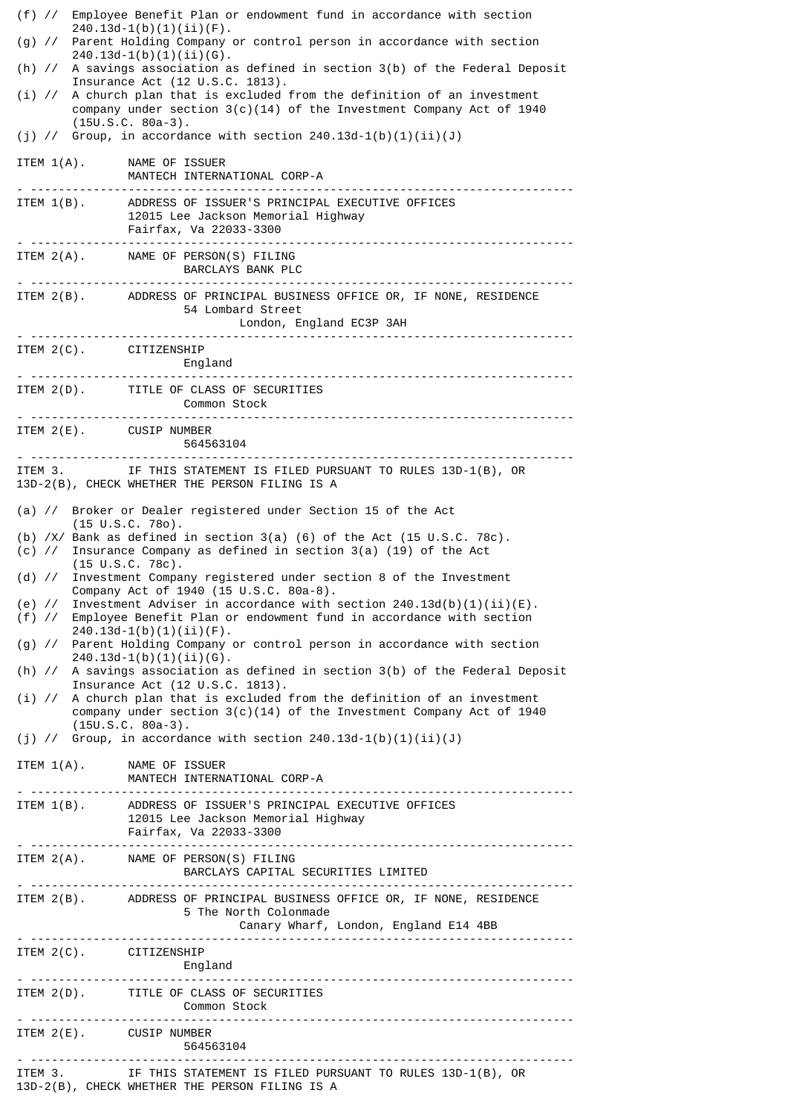|                               | (f) // Employee Benefit Plan or endowment fund in accordance with section<br>$240.13d-1(b)(1)(ii)(F)$ .                                                                    |
|-------------------------------|----------------------------------------------------------------------------------------------------------------------------------------------------------------------------|
|                               | (g) // Parent Holding Company or control person in accordance with section<br>$240.13d-1(b)(1)(ii)(G)$ .                                                                   |
|                               | (h) // A savings association as defined in section 3(b) of the Federal Deposit<br>Insurance Act (12 U.S.C. 1813).                                                          |
| $(i)$ //                      | A church plan that is excluded from the definition of an investment<br>company under section $3(c)(14)$ of the Investment Company Act of 1940<br>$(15U.S.C. 80a-3).$       |
|                               | (j) // Group, in accordance with section $240.13d-1(b)(1)(ii)(J)$                                                                                                          |
|                               | ITEM 1(A). NAME OF ISSUER<br>MANTECH INTERNATIONAL CORP-A                                                                                                                  |
|                               | ITEM 1(B). ADDRESS OF ISSUER'S PRINCIPAL EXECUTIVE OFFICES<br>12015 Lee Jackson Memorial Highway<br>Fairfax, Va 22033-3300                                                 |
|                               | ITEM 2(A). NAME OF PERSON(S) FILING<br>BARCLAYS BANK PLC<br>.                                                                                                              |
|                               | ITEM 2(B). ADDRESS OF PRINCIPAL BUSINESS OFFICE OR, IF NONE, RESIDENCE<br>54 Lombard Street<br>London, England EC3P 3AH                                                    |
|                               | ITEM 2(C). CITIZENSHIP<br>England                                                                                                                                          |
|                               | ITEM 2(D). TITLE OF CLASS OF SECURITIES<br><b>Common Stock</b>                                                                                                             |
|                               | ITEM 2(E). CUSIP NUMBER<br>564563104                                                                                                                                       |
|                               | ITEM 3. IF THIS STATEMENT IS FILED PURSUANT TO RULES 13D-1(B), OR<br>13D-2(B), CHECK WHETHER THE PERSON FILING IS A                                                        |
|                               | (a) // Broker or Dealer registered under Section 15 of the Act                                                                                                             |
|                               | $(15 \cup S.C. 780)$ .<br>(b) $/XY$ Bank as defined in section 3(a) (6) of the Act (15 U.S.C. 78c).<br>(c) // Insurance Company as defined in section 3(a) (19) of the Act |
| $(d)$ //                      | $(15 \cup S.C. 78c)$ .<br>Investment Company registered under section 8 of the Investment<br>Company Act of 1940 (15 U.S.C. 80a-8).                                        |
| (e) $\frac{1}{2}$<br>$(f)$ // | Investment Adviser in accordance with section $240.13d(b)(1)(ii)(E)$ .<br>Employee Benefit Plan or endowment fund in accordance with section<br>$240.13d-1(b)(1)(ii)(F)$ . |
|                               | (g) // Parent Holding Company or control person in accordance with section<br>$240.13d-1(b)(1)(ii)(G)$ .                                                                   |
|                               | (h) // A savings association as defined in section 3(b) of the Federal Deposit<br>Insurance Act (12 U.S.C. 1813).                                                          |
| $(i)$ //                      | A church plan that is excluded from the definition of an investment<br>company under section $3(c)(14)$ of the Investment Company Act of 1940<br>$(15U.S.C. 80a-3).$       |
|                               | (j) // Group, in accordance with section $240.13d-1(b)(1)(ii)(J)$                                                                                                          |
|                               | ITEM 1(A). NAME OF ISSUER<br>MANTECH INTERNATIONAL CORP-A                                                                                                                  |
|                               | ITEM 1(B). ADDRESS OF ISSUER'S PRINCIPAL EXECUTIVE OFFICES<br>12015 Lee Jackson Memorial Highway<br>Fairfax, Va 22033-3300                                                 |
|                               | ITEM 2(A). NAME OF PERSON(S) FILING<br>BARCLAYS CAPITAL SECURITIES LIMITED                                                                                                 |
|                               | ITEM 2(B). ADDRESS OF PRINCIPAL BUSINESS OFFICE OR, IF NONE, RESIDENCE<br>5 The North Colonmade                                                                            |
|                               | ITEM 2(C). CITIZENSHIP<br>England                                                                                                                                          |
|                               | ITEM 2(D). TITLE OF CLASS OF SECURITIES<br>Common Stock                                                                                                                    |
|                               | ITEM 2(E). CUSIP NUMBER<br>564563104                                                                                                                                       |
|                               | ITEM 3. IF THIS STATEMENT IS FILED PURSUANT TO RULES 13D-1(B), OR<br>13D-2(B), CHECK WHETHER THE PERSON FILING IS A                                                        |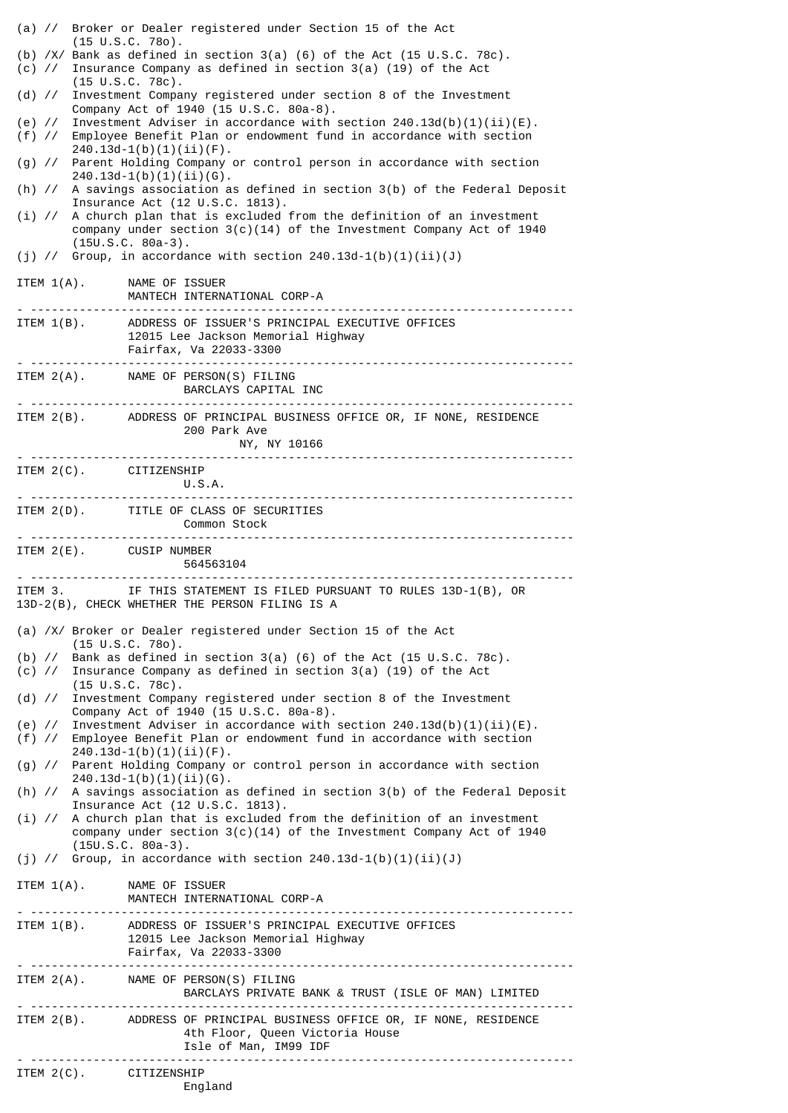|                         | (a) // Broker or Dealer registered under Section 15 of the Act                                                                                                                                       |
|-------------------------|------------------------------------------------------------------------------------------------------------------------------------------------------------------------------------------------------|
|                         | $(15 \cup S.C. 780)$ .<br>(b) $/X/$ Bank as defined in section 3(a) (6) of the Act (15 U.S.C. 78c).<br>(c) // Insurance Company as defined in section 3(a) (19) of the Act<br>$(15 \cup S.C. 78c)$ . |
|                         | (d) // Investment Company registered under section 8 of the Investment<br>Company Act of 1940 (15 U.S.C. 80a-8).                                                                                     |
| $(f)$ //                | (e) // Investment Adviser in accordance with section $240.13d(b)(1)(ii)(E)$ .<br>Employee Benefit Plan or endowment fund in accordance with section                                                  |
|                         | $240.13d-1(b)(1)(ii)(F)$ .<br>(g) // Parent Holding Company or control person in accordance with section<br>$240.13d-1(b)(1)(ii)(G)$ .                                                               |
|                         | (h) $//$ A savings association as defined in section $3(b)$ of the Federal Deposit<br>Insurance Act (12 U.S.C. 1813).                                                                                |
|                         | $(i)$ // A church plan that is excluded from the definition of an investment<br>company under section $3(c)(14)$ of the Investment Company Act of 1940<br>$(15U.S.C. 80a-3).$                        |
|                         | (j) // Group, in accordance with section $240.13d-1(b)(1)(ii)(J)$                                                                                                                                    |
|                         | ITEM 1(A). NAME OF ISSUER<br>MANTECH INTERNATIONAL CORP-A                                                                                                                                            |
|                         | ITEM 1(B). ADDRESS OF ISSUER'S PRINCIPAL EXECUTIVE OFFICES<br>12015 Lee Jackson Memorial Highway<br>Fairfax, Va 22033-3300<br><u>. </u> .                                                            |
|                         | ITEM 2(A). NAME OF PERSON(S) FILING<br>BARCLAYS CAPITAL INC                                                                                                                                          |
|                         | ITEM 2(B). ADDRESS OF PRINCIPAL BUSINESS OFFICE OR, IF NONE, RESIDENCE<br>200 Park Ave<br>NY, NY 10166                                                                                               |
| ITEM 2(C). CITIZENSHIP  | U.S.A.                                                                                                                                                                                               |
|                         | ITEM 2(D). TITLE OF CLASS OF SECURITIES<br>Common Stock                                                                                                                                              |
| ITEM 2(E). CUSIP NUMBER | <u>. </u><br>564563104                                                                                                                                                                               |
|                         | ITEM 3. IF THIS STATEMENT IS FILED PURSUANT TO RULES 13D-1(B), OR<br>13D-2(B), CHECK WHETHER THE PERSON FILING IS A                                                                                  |
|                         | (a) /X/ Broker or Dealer registered under Section 15 of the Act<br>$(15 \cup S.C. 780)$ .                                                                                                            |
| $(b)$ //                | Bank as defined in section $3(a)$ (6) of the Act (15 U.S.C. 78c).<br>(c) // Insurance Company as defined in section 3(a) (19) of the Act<br>$(15 \cup S.C. 78c)$ .                                   |
|                         | (d) // Investment Company registered under section 8 of the Investment<br>Company Act of 1940 (15 U.S.C. 80a-8).                                                                                     |
|                         | (e) // Investment Adviser in accordance with section $240.13d(b)(1)(ii)(E)$ .<br>(f) // Employee Benefit Plan or endowment fund in accordance with section<br>$240.13d-1(b)(1)(ii)(F)$ .             |
|                         | (g) // Parent Holding Company or control person in accordance with section<br>$240.13d-1(b)(1)(ii)(G)$ .                                                                                             |
|                         | (h) // A savings association as defined in section 3(b) of the Federal Deposit<br>Insurance Act (12 U.S.C. 1813).                                                                                    |
| $(i)$ //                | A church plan that is excluded from the definition of an investment<br>company under section $3(c)(14)$ of the Investment Company Act of 1940<br>$(15U.S.C. 80a-3).$                                 |
|                         | (j) // Group, in accordance with section $240.13d-1(b)(1)(ii)(J)$                                                                                                                                    |
| ITEM $1(A)$ .           | NAME OF ISSUER                                                                                                                                                                                       |
| ITEM $1(B)$ .           | MANTECH INTERNATIONAL CORP-A                                                                                                                                                                         |
|                         | ADDRESS OF ISSUER'S PRINCIPAL EXECUTIVE OFFICES<br>12015 Lee Jackson Memorial Highway<br>Fairfax, Va 22033-3300                                                                                      |
|                         | ITEM 2(A). NAME OF PERSON(S) FILING<br>BARCLAYS PRIVATE BANK & TRUST (ISLE OF MAN) LIMITED                                                                                                           |
|                         | ITEM 2(B). ADDRESS OF PRINCIPAL BUSINESS OFFICE OR, IF NONE, RESIDENCE<br>4th Floor, Queen Victoria House<br>Isle of Man, IM99 IDF                                                                   |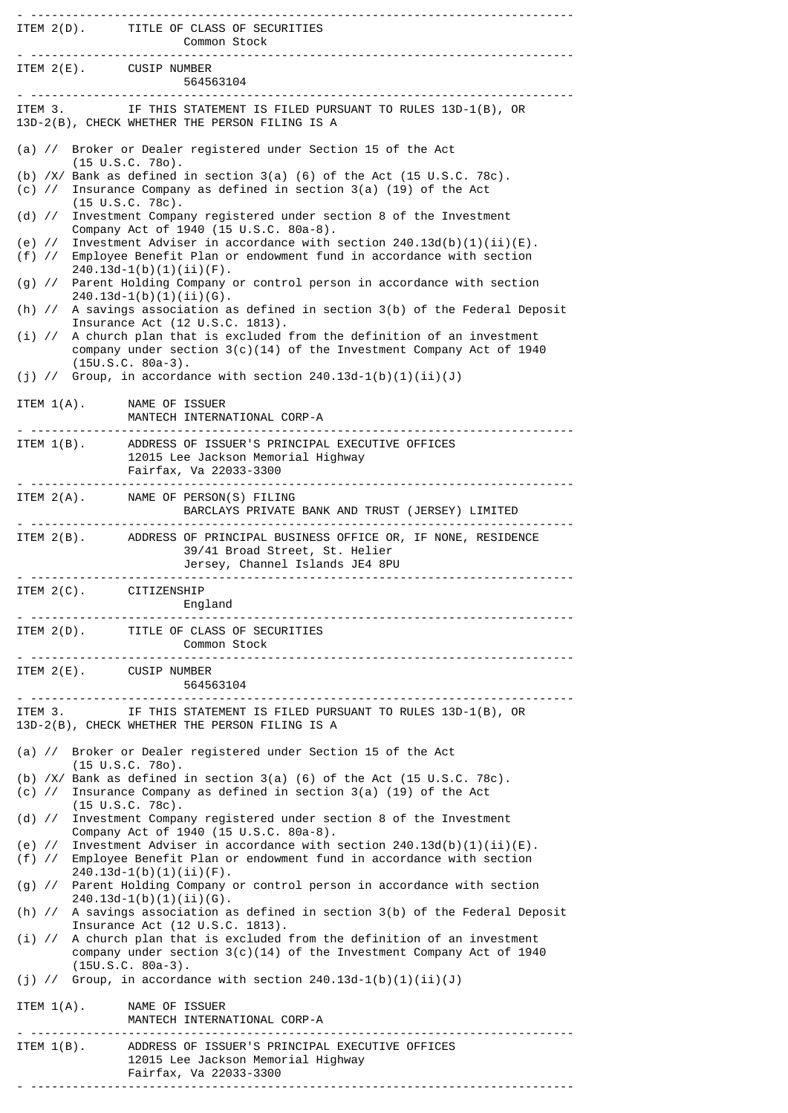| <u>. </u> .             | ITEM 2(D). TITLE OF CLASS OF SECURITIES<br>Common Stock                                                                                                                     |
|-------------------------|-----------------------------------------------------------------------------------------------------------------------------------------------------------------------------|
| ITEM 2(E). CUSIP NUMBER | 564563104                                                                                                                                                                   |
|                         | ITEM 3. IF THIS STATEMENT IS FILED PURSUANT TO RULES 13D-1(B), OR<br>13D-2(B), CHECK WHETHER THE PERSON FILING IS A                                                         |
|                         | (a) // Broker or Dealer registered under Section 15 of the Act<br>$(15 \cup S.C. 780)$ .                                                                                    |
|                         | (b) $/X/$ Bank as defined in section 3(a) (6) of the Act (15 U.S.C. 78c).<br>(c) // Insurance Company as defined in section 3(a) (19) of the Act                            |
|                         | $(15 \tU.S.C. 78c).$<br>(d) // Investment Company registered under section 8 of the Investment<br>Company Act of 1940 (15 U.S.C. 80a-8).                                    |
| $(e)$ //                | Investment Adviser in accordance with section $240.13d(b)(1)(ii)(E)$ .<br>(f) // Employee Benefit Plan or endowment fund in accordance with section                         |
|                         | $240.13d-1(b)(1)(ii)(F)$ .<br>(g) // Parent Holding Company or control person in accordance with section<br>$240.13d-1(b)(1)(ii)(G)$ .                                      |
|                         | (h) // A savings association as defined in section 3(b) of the Federal Deposit<br>Insurance Act (12 U.S.C. 1813).                                                           |
|                         | (i) // A church plan that is excluded from the definition of an investment<br>company under section $3(c)(14)$ of the Investment Company Act of 1940<br>$(15U.S.C. 80a-3).$ |
|                         | (j) // Group, in accordance with section $240.13d-1(b)(1)(ii)(J)$                                                                                                           |
| ITEM $1(A)$ .           | NAME OF ISSUER<br>MANTECH INTERNATIONAL CORP-A                                                                                                                              |
|                         | ITEM 1(B). ADDRESS OF ISSUER'S PRINCIPAL EXECUTIVE OFFICES<br>12015 Lee Jackson Memorial Highway<br>Fairfax, Va 22033-3300                                                  |
|                         | ITEM 2(A). NAME OF PERSON(S) FILING<br>BARCLAYS PRIVATE BANK AND TRUST (JERSEY) LIMITED                                                                                     |
|                         | ITEM 2(B). ADDRESS OF PRINCIPAL BUSINESS OFFICE OR, IF NONE, RESIDENCE<br>39/41 Broad Street, St. Helier<br>Jersey, Channel Islands JE4 8PU                                 |
| ITEM 2(C). CITIZENSHIP  | England                                                                                                                                                                     |
|                         | ITEM 2(D). TITLE OF CLASS OF SECURITIES<br>Common Stock                                                                                                                     |
| ITEM 2(E). CUSIP NUMBER | 564563104                                                                                                                                                                   |
| ITEM 3.                 | IF THIS STATEMENT IS FILED PURSUANT TO RULES 13D-1(B), OR<br>13D-2(B), CHECK WHETHER THE PERSON FILING IS A                                                                 |
|                         | (a) // Broker or Dealer registered under Section 15 of the Act<br>$(15 \cup S.C. 780)$ .                                                                                    |
|                         | (b) $/X/$ Bank as defined in section 3(a) (6) of the Act (15 U.S.C. 78c).<br>(c) $\frac{1}{2}$ Insurance Company as defined in section 3(a) (19) of the Act                 |
|                         | $(15 \text{ U.S.C. } 78c)$ .<br>(d) // Investment Company registered under section 8 of the Investment<br>Company Act of 1940 (15 U.S.C. 80a-8).                            |
|                         | (e) // Investment Adviser in accordance with section $240.13d(b)(1)(ii)(E)$ .<br>(f) // Employee Benefit Plan or endowment fund in accordance with section                  |
|                         | $240.13d-1(b)(1)(ii)(F)$ .<br>(g) // Parent Holding Company or control person in accordance with section<br>$240.13d-1(b)(1)(ii)(6)$ .                                      |
|                         | (h) // A savings association as defined in section 3(b) of the Federal Deposit<br>Insurance Act (12 U.S.C. 1813).                                                           |
|                         | (i) // A church plan that is excluded from the definition of an investment<br>company under section 3(c)(14) of the Investment Company Act of 1940<br>$(15U.S.C. 80a-3).$   |
|                         | (j) // Group, in accordance with section $240.13d-1(b)(1)(ii)(J)$                                                                                                           |
| ITEM $1(A)$ .           | NAME OF ISSUER<br>MANTECH INTERNATIONAL CORP-A                                                                                                                              |
|                         | ITEM 1(B). ADDRESS OF ISSUER'S PRINCIPAL EXECUTIVE OFFICES<br>12015 Lee Jackson Memorial Highway<br>Fairfax, Va 22033-3300                                                  |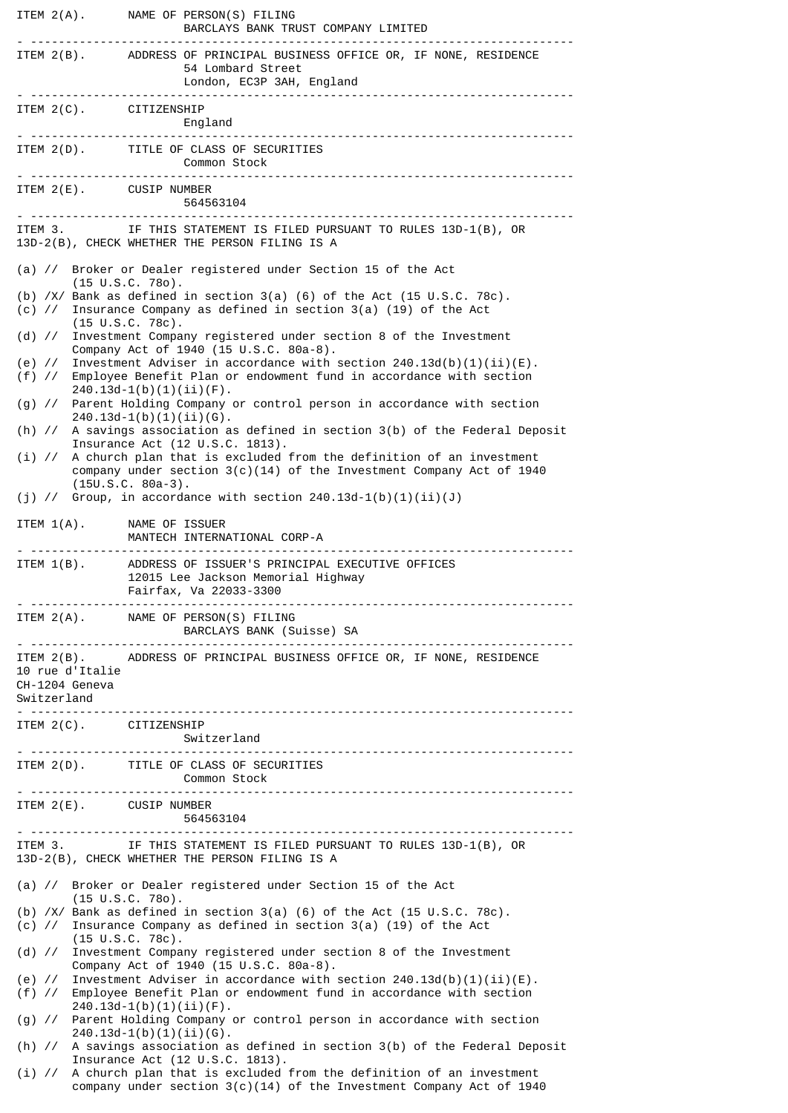|                                                  | ITEM 2(A). NAME OF PERSON(S) FILING<br>BARCLAYS BANK TRUST COMPANY LIMITED                                                                                                               |
|--------------------------------------------------|------------------------------------------------------------------------------------------------------------------------------------------------------------------------------------------|
|                                                  | ITEM 2(B). ADDRESS OF PRINCIPAL BUSINESS OFFICE OR, IF NONE, RESIDENCE<br>54 Lombard Street<br>London, EC3P 3AH, England                                                                 |
| ITEM 2(C). CITIZENSHIP                           | England                                                                                                                                                                                  |
|                                                  | ITEM 2(D). TITLE OF CLASS OF SECURITIES<br>Common Stock                                                                                                                                  |
| ITEM 2(E). CUSIP NUMBER                          | 564563104                                                                                                                                                                                |
|                                                  | ITEM 3. IF THIS STATEMENT IS FILED PURSUANT TO RULES 13D-1(B), OR<br>13D-2(B), CHECK WHETHER THE PERSON FILING IS A                                                                      |
|                                                  | (a) // Broker or Dealer registered under Section 15 of the Act<br>$(15 \cup S.C. 780)$ .                                                                                                 |
|                                                  | (b) $/X$ Bank as defined in section 3(a) (6) of the Act (15 U.S.C. 78c).<br>(c) // Insurance Company as defined in section 3(a) (19) of the Act<br>$(15 \cup S.C. 78c)$ .                |
|                                                  | (d) // Investment Company registered under section 8 of the Investment<br>Company Act of 1940 (15 U.S.C. 80a-8).                                                                         |
|                                                  | (e) // Investment Adviser in accordance with section $240.13d(b)(1)(ii)(E)$ .<br>(f) // Employee Benefit Plan or endowment fund in accordance with section<br>$240.13d-1(b)(1)(ii)(F)$ . |
|                                                  | (g) // Parent Holding Company or control person in accordance with section<br>$240.13d-1(b)(1)(ii)(G)$ .                                                                                 |
|                                                  | (h) // A savings association as defined in section 3(b) of the Federal Deposit<br>Insurance Act (12 U.S.C. 1813).                                                                        |
|                                                  | (i) // A church plan that is excluded from the definition of an investment<br>company under section $3(c)(14)$ of the Investment Company Act of 1940                                     |
|                                                  | $(15U.S.C. 80a-3).$<br>(j) // Group, in accordance with section $240.13d-1(b)(1)(ii)(J)$                                                                                                 |
| ITEM 1(A). NAME OF ISSUER                        | MANTECH INTERNATIONAL CORP-A                                                                                                                                                             |
| ITEM $1(B)$ .                                    | ADDRESS OF ISSUER'S PRINCIPAL EXECUTIVE OFFICES<br>12015 Lee Jackson Memorial Highway<br>Fairfax, Va 22033-3300                                                                          |
|                                                  | ITEM 2(A). NAME OF PERSON(S) FILING<br>BARCLAYS BANK (Suisse) SA                                                                                                                         |
| 10 rue d'Italie<br>CH-1204 Geneva<br>Switzerland | ITEM 2(B). ADDRESS OF PRINCIPAL BUSINESS OFFICE OR, IF NONE, RESIDENCE                                                                                                                   |
| ITEM 2(C). CITIZENSHIP                           | Switzerland                                                                                                                                                                              |
|                                                  | ITEM 2(D). TITLE OF CLASS OF SECURITIES<br>Common Stock                                                                                                                                  |
| ITEM 2(E). CUSIP NUMBER                          | 564563104                                                                                                                                                                                |
|                                                  | ITEM 3. IF THIS STATEMENT IS FILED PURSUANT TO RULES 13D-1(B), OR<br>13D-2(B), CHECK WHETHER THE PERSON FILING IS A                                                                      |
| (a) $\frac{1}{2}$                                | Broker or Dealer registered under Section 15 of the Act<br>$(15 \cup S.C. 780)$ .                                                                                                        |
|                                                  | (b) $/X/$ Bank as defined in section 3(a) (6) of the Act (15 U.S.C. 78c).<br>(c) $\frac{1}{2}$ Insurance Company as defined in section 3(a) (19) of the Act                              |
| $(d)$ //                                         | $(15 \cup S.C. 78c)$ .<br>Investment Company registered under section 8 of the Investment<br>Company Act of 1940 (15 U.S.C. 80a-8).                                                      |
| (e) $\frac{1}{2}$<br>$(f)$ //                    | Investment Adviser in accordance with section $240.13d(b)(1)(ii)(E)$ .<br>Employee Benefit Plan or endowment fund in accordance with section                                             |
|                                                  | $240.13d-1(b)(1)(ii)(F)$ .<br>(g) // Parent Holding Company or control person in accordance with section                                                                                 |
|                                                  | $240.13d-1(b)(1)(ii)(6)$ .<br>(h) // A savings association as defined in section 3(b) of the Federal Deposit                                                                             |
| $(i)$ //                                         | Insurance Act (12 U.S.C. 1813).<br>A church plan that is excluded from the definition of an investment<br>company under section $3(c)(14)$ of the Investment Company Act of 1940         |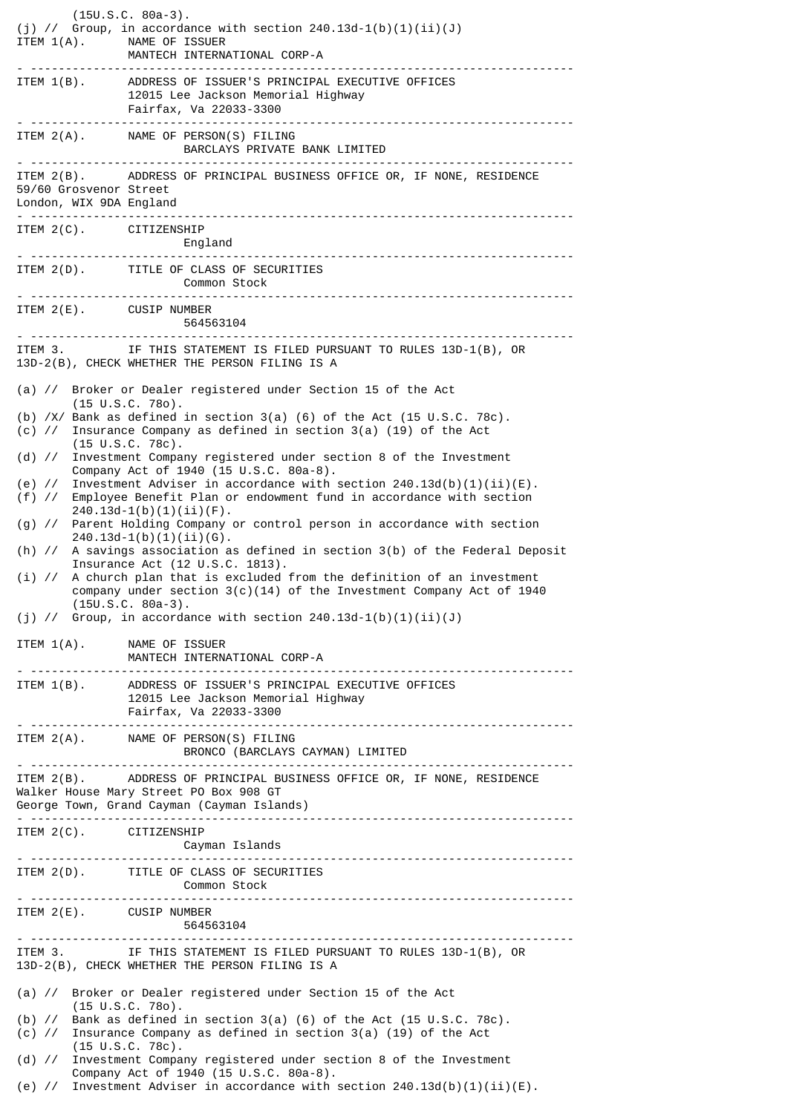|                                                   | $(15U.S.C. 80a-3).$<br>(j) // Group, in accordance with section $240.13d-1(b)(1)(ii)(J)$<br>ITEM 1(A). NAME OF ISSUER<br>MANTECH INTERNATIONAL CORP-A                             |
|---------------------------------------------------|-----------------------------------------------------------------------------------------------------------------------------------------------------------------------------------|
|                                                   | ITEM 1(B). ADDRESS OF ISSUER'S PRINCIPAL EXECUTIVE OFFICES<br>12015 Lee Jackson Memorial Highway<br>Fairfax, Va 22033-3300                                                        |
|                                                   | ITEM 2(A). NAME OF PERSON(S) FILING                                                                                                                                               |
| 59/60 Grosvenor Street<br>London, WIX 9DA England | ITEM 2(B). ADDRESS OF PRINCIPAL BUSINESS OFFICE OR, IF NONE, RESIDENCE                                                                                                            |
| <u>. </u> .                                       | ITEM 2(C). CITIZENSHIP<br>England<br>.                                                                                                                                            |
|                                                   | ITEM 2(D). TITLE OF CLASS OF SECURITIES                                                                                                                                           |
|                                                   | ITEM 2(E). CUSIP NUMBER<br>564563104                                                                                                                                              |
| ITEM 3.                                           | IF THIS STATEMENT IS FILED PURSUANT TO RULES 13D-1(B), OR<br>13D-2(B), CHECK WHETHER THE PERSON FILING IS A                                                                       |
|                                                   | (a) // Broker or Dealer registered under Section 15 of the Act                                                                                                                    |
| $(c)$ //                                          | $(15 \tU.S.C. 780)$ .<br>(b) $/X/$ Bank as defined in section 3(a) (6) of the Act (15 U.S.C. 78c).<br>Insurance Company as defined in section $3(a)$ (19) of the Act              |
| (d) $\frac{1}{2}$                                 | $(15 \text{ U.S.C. } 78c)$ .<br>Investment Company registered under section 8 of the Investment<br>Company Act of 1940 (15 U.S.C. 80a-8).                                         |
| (e) $\frac{1}{2}$<br>$(f)$ //                     | Investment Adviser in accordance with section $240.13d(b)(1)(ii)(E)$ .<br>Employee Benefit Plan or endowment fund in accordance with section<br>$240.13d-1(b)(1)(ii)(F)$ .        |
|                                                   | (g) // Parent Holding Company or control person in accordance with section<br>$240.13d-1(b)(1)(ii)(G)$ .                                                                          |
|                                                   | (h) // A savings association as defined in section 3(b) of the Federal Deposit<br>Insurance Act (12 U.S.C. 1813).                                                                 |
| $(i)$ //                                          | A church plan that is excluded from the definition of an investment<br>company under section $3(c)(14)$ of the Investment Company Act of 1940<br>$(15U.S.C. 80a-3)$ .             |
|                                                   | (j) // Group, in accordance with section $240.13d-1(b)(1)(ii)(J)$                                                                                                                 |
|                                                   | ITEM 1(A). NAME OF ISSUER<br>MANTECH INTERNATIONAL CORP-A                                                                                                                         |
|                                                   | ITEM 1(B). ADDRESS OF ISSUER'S PRINCIPAL EXECUTIVE OFFICES<br>12015 Lee Jackson Memorial Highway<br>Fairfax, Va 22033-3300                                                        |
|                                                   | ITEM 2(A). NAME OF PERSON(S) FILING<br>BRONCO (BARCLAYS CAYMAN) LIMITED                                                                                                           |
|                                                   | ITEM 2(B). ADDRESS OF PRINCIPAL BUSINESS OFFICE OR, IF NONE, RESIDENCE<br>Walker House Mary Street PO Box 908 GT<br>George Town, Grand Cayman (Cayman Islands)                    |
|                                                   | ITEM 2(C). CITIZENSHIP<br>Cayman Islands                                                                                                                                          |
|                                                   | ITEM 2(D). TITLE OF CLASS OF SECURITIES<br>Common Stock                                                                                                                           |
|                                                   | ITEM 2(E). CUSIP NUMBER<br>564563104                                                                                                                                              |
|                                                   | ITEM 3. IF THIS STATEMENT IS FILED PURSUANT TO RULES 13D-1(B), OR<br>13D-2(B), CHECK WHETHER THE PERSON FILING IS A                                                               |
|                                                   | (a) // Broker or Dealer registered under Section 15 of the Act                                                                                                                    |
|                                                   | $(15 \tU.S.C. 780)$ .<br>(b) $\frac{1}{2}$ Bank as defined in section 3(a) (6) of the Act (15 U.S.C. 78c).<br>(c) // Insurance Company as defined in section 3(a) (19) of the Act |
| $(d)$ //                                          | $(15 \tU.S.C. 78c).$<br>Investment Company registered under section 8 of the Investment                                                                                           |
|                                                   | Company Act of 1940 (15 U.S.C. 80a-8).<br>(e) // Investment Adviser in accordance with section $240.13d(b)(1)(ii)(E)$ .                                                           |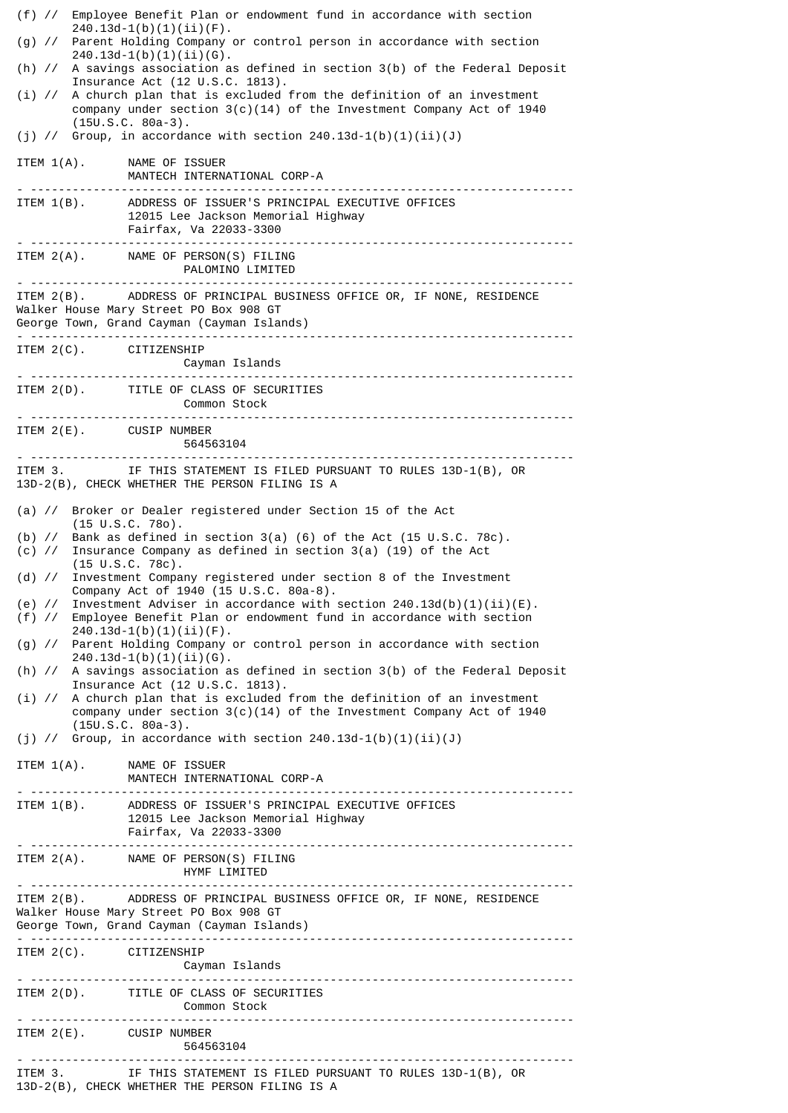| $(f)$ //                                                                                                                                                       | Employee Benefit Plan or endowment fund in accordance with section                                                                                                                     |  |
|----------------------------------------------------------------------------------------------------------------------------------------------------------------|----------------------------------------------------------------------------------------------------------------------------------------------------------------------------------------|--|
|                                                                                                                                                                | $240.13d-1(b)(1)(ii)(F)$ .<br>(g) // Parent Holding Company or control person in accordance with section<br>$240.13d-1(b)(1)(ii)(G)$ .                                                 |  |
|                                                                                                                                                                | (h) // A savings association as defined in section 3(b) of the Federal Deposit<br>Insurance Act (12 U.S.C. 1813).                                                                      |  |
| $(i)$ //                                                                                                                                                       | A church plan that is excluded from the definition of an investment<br>company under section $3(c)(14)$ of the Investment Company Act of 1940<br>$(15U.S.C. 80a-3).$                   |  |
|                                                                                                                                                                | (j) // Group, in accordance with section $240.13d-1(b)(1)(ii)(J)$                                                                                                                      |  |
|                                                                                                                                                                | ITEM 1(A). NAME OF ISSUER<br>MANTECH INTERNATIONAL CORP-A                                                                                                                              |  |
|                                                                                                                                                                | ITEM 1(B). ADDRESS OF ISSUER'S PRINCIPAL EXECUTIVE OFFICES<br>12015 Lee Jackson Memorial Highway<br>Fairfax, Va 22033-3300                                                             |  |
|                                                                                                                                                                | ITEM 2(A). NAME OF PERSON(S) FILING<br>PALOMINO LIMITED                                                                                                                                |  |
|                                                                                                                                                                | ITEM 2(B). ADDRESS OF PRINCIPAL BUSINESS OFFICE OR, IF NONE, RESIDENCE<br>Walker House Mary Street PO Box 908 GT<br>George Town, Grand Cayman (Cayman Islands)                         |  |
|                                                                                                                                                                | ITEM 2(C). CITIZENSHIP                                                                                                                                                                 |  |
|                                                                                                                                                                | ITEM 2(D). TITLE OF CLASS OF SECURITIES<br><b>Common Stock</b>                                                                                                                         |  |
|                                                                                                                                                                | ITEM 2(E). CUSIP NUMBER<br>564563104                                                                                                                                                   |  |
|                                                                                                                                                                | ITEM 3. IF THIS STATEMENT IS FILED PURSUANT TO RULES 13D-1(B), OR<br>13D-2(B), CHECK WHETHER THE PERSON FILING IS A                                                                    |  |
| Broker or Dealer registered under Section 15 of the Act<br>(a) $\frac{1}{2}$                                                                                   |                                                                                                                                                                                        |  |
|                                                                                                                                                                | $(15 \cup S.C. 780)$ .<br>(b) $\frac{1}{5}$ Bank as defined in section 3(a) (6) of the Act (15 U.S.C. 78c).<br>(c) // Insurance Company as defined in section 3(a) (19) of the Act     |  |
| (d) $\frac{1}{2}$                                                                                                                                              | $(15 \cup S.C. 78c)$ .<br>Investment Company registered under section 8 of the Investment                                                                                              |  |
| (e) $\frac{1}{2}$<br>$(f)$ //                                                                                                                                  | Company Act of 1940 (15 U.S.C. 80a-8).<br>Investment Adviser in accordance with section $240.13d(b)(1)(ii)(E)$ .<br>Employee Benefit Plan or endowment fund in accordance with section |  |
| $(g)$ //                                                                                                                                                       | $240.13d-1(b)(1)(ii)(F)$ .<br>Parent Holding Company or control person in accordance with section<br>$240.13d-1(b)(1)(ii)(G)$ .                                                        |  |
|                                                                                                                                                                | (h) // A savings association as defined in section 3(b) of the Federal Deposit<br>Insurance Act (12 U.S.C. 1813).                                                                      |  |
|                                                                                                                                                                | (i) // A church plan that is excluded from the definition of an investment<br>company under section $3(c)(14)$ of the Investment Company Act of 1940<br>$(15U.S.C. 80a-3).$            |  |
| (j) // Group, in accordance with section $240.13d-1(b)(1)(ii)(J)$                                                                                              |                                                                                                                                                                                        |  |
|                                                                                                                                                                | ITEM 1(A). NAME OF ISSUER<br>MANTECH INTERNATIONAL CORP-A                                                                                                                              |  |
|                                                                                                                                                                | ITEM 1(B). ADDRESS OF ISSUER'S PRINCIPAL EXECUTIVE OFFICES<br>12015 Lee Jackson Memorial Highway<br>Fairfax, Va 22033-3300                                                             |  |
|                                                                                                                                                                | ITEM 2(A). NAME OF PERSON(S) FILING<br>HYMF LIMITED                                                                                                                                    |  |
| ITEM 2(B). ADDRESS OF PRINCIPAL BUSINESS OFFICE OR, IF NONE, RESIDENCE<br>Walker House Mary Street PO Box 908 GT<br>George Town, Grand Cayman (Cayman Islands) |                                                                                                                                                                                        |  |
|                                                                                                                                                                | ITEM 2(C). CITIZENSHIP                                                                                                                                                                 |  |
|                                                                                                                                                                | ITEM 2(D). TITLE OF CLASS OF SECURITIES<br>Common Stock                                                                                                                                |  |
|                                                                                                                                                                | ITEM 2(E). CUSIP NUMBER<br>564563104                                                                                                                                                   |  |
|                                                                                                                                                                | ITEM 3. IF THIS STATEMENT IS FILED PURSUANT TO RULES 13D-1(B), OR<br>13D-2(B), CHECK WHETHER THE PERSON FILING IS A                                                                    |  |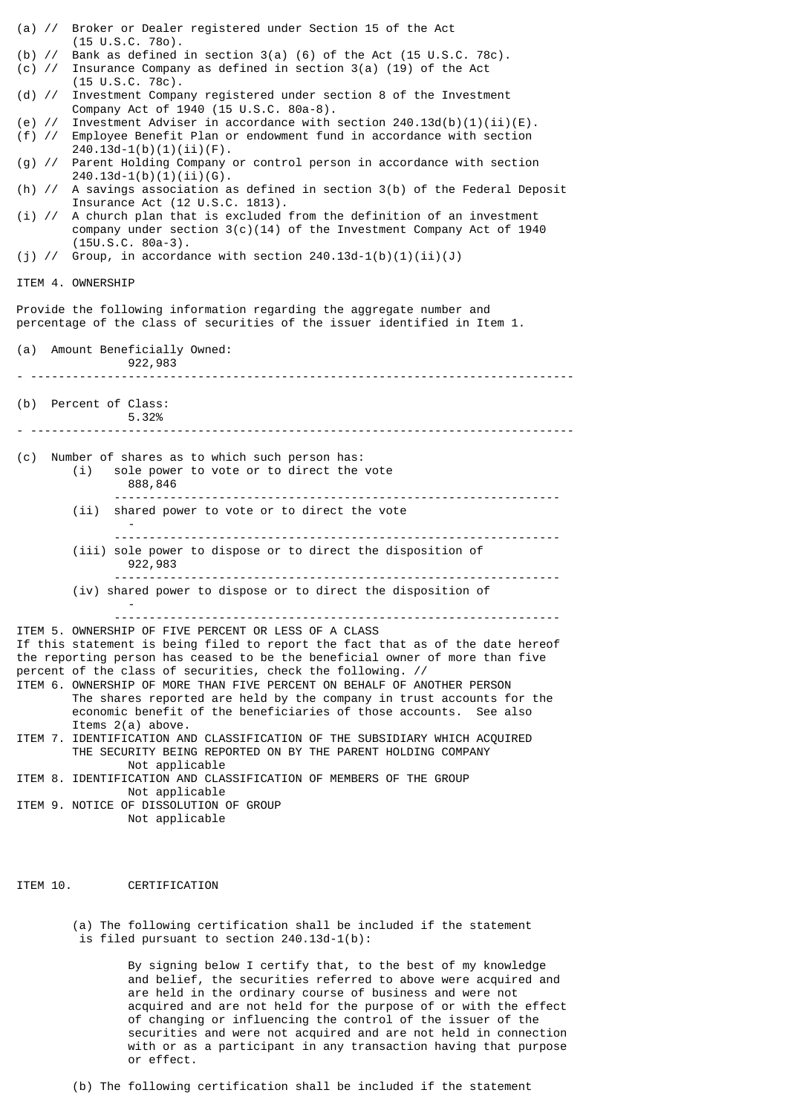| (a) // Broker or Dealer registered under Section 15 of the Act<br>$(15 \cup S.C. 780)$ .<br>(b) $\frac{1}{2}$ Bank as defined in section 3(a) (6) of the Act (15 U.S.C. 78c).<br>(c) $\frac{1}{2}$ Insurance Company as defined in section 3(a) (19) of the Act<br>$(15 \cup S.C. 78c)$ .<br>(d) // Investment Company registered under section 8 of the Investment<br>Company Act of 1940 (15 U.S.C. 80a-8).<br>(e) // Investment Adviser in accordance with section $240.13d(b)(1)(ii)(E)$ .<br>(f) // Employee Benefit Plan or endowment fund in accordance with section<br>$240.13d-1(b)(1)(ii)(F)$ .<br>(g) // Parent Holding Company or control person in accordance with section<br>$240.13d-1(b)(1)(ii)(6)$ .<br>(h) // A savings association as defined in section 3(b) of the Federal Deposit<br>Insurance Act (12 U.S.C. 1813).<br>A church plan that is excluded from the definition of an investment<br>$(i)$ //<br>company under section $3(c)(14)$ of the Investment Company Act of 1940<br>$(15U.S.C. 80a-3).$<br>(j) // Group, in accordance with section $240.13d-1(b)(1)(ii)(J)$<br>ITEM 4. OWNERSHIP<br>Provide the following information regarding the aggregate number and<br>percentage of the class of securities of the issuer identified in Item 1.<br>(a) Amount Beneficially Owned:<br>922,983<br>(b) Percent of Class:<br>5.32%<br>Number of shares as to which such person has:<br>(c)<br>sole power to vote or to direct the vote<br>(i)<br>888,846<br>---------------------------<br>shared power to vote or to direct the vote<br>(i)<br>(iii) sole power to dispose or to direct the disposition of<br>922,983<br>(iv) shared power to dispose or to direct the disposition of<br>ITEM 5. OWNERSHIP OF FIVE PERCENT OR LESS OF A CLASS<br>If this statement is being filed to report the fact that as of the date hereof<br>the reporting person has ceased to be the beneficial owner of more than five<br>percent of the class of securities, check the following. //<br>ITEM 6. OWNERSHIP OF MORE THAN FIVE PERCENT ON BEHALF OF ANOTHER PERSON<br>The shares reported are held by the company in trust accounts for the<br>economic benefit of the beneficiaries of those accounts. See also<br>Items $2(a)$ above.<br>ITEM 7. IDENTIFICATION AND CLASSIFICATION OF THE SUBSIDIARY WHICH ACOUIRED<br>THE SECURITY BEING REPORTED ON BY THE PARENT HOLDING COMPANY<br>Not applicable<br>ITEM 8. IDENTIFICATION AND CLASSIFICATION OF MEMBERS OF THE GROUP<br>Not applicable<br>ITEM 9. NOTICE OF DISSOLUTION OF GROUP<br>Not applicable |  |
|------------------------------------------------------------------------------------------------------------------------------------------------------------------------------------------------------------------------------------------------------------------------------------------------------------------------------------------------------------------------------------------------------------------------------------------------------------------------------------------------------------------------------------------------------------------------------------------------------------------------------------------------------------------------------------------------------------------------------------------------------------------------------------------------------------------------------------------------------------------------------------------------------------------------------------------------------------------------------------------------------------------------------------------------------------------------------------------------------------------------------------------------------------------------------------------------------------------------------------------------------------------------------------------------------------------------------------------------------------------------------------------------------------------------------------------------------------------------------------------------------------------------------------------------------------------------------------------------------------------------------------------------------------------------------------------------------------------------------------------------------------------------------------------------------------------------------------------------------------------------------------------------------------------------------------------------------------------------------------------------------------------------------------------------------------------------------------------------------------------------------------------------------------------------------------------------------------------------------------------------------------------------------------------------------------------------------------------------------------------------------------------------------------------------------------------------------------------------------------------------------------------------------------------------------------------------------|--|
|                                                                                                                                                                                                                                                                                                                                                                                                                                                                                                                                                                                                                                                                                                                                                                                                                                                                                                                                                                                                                                                                                                                                                                                                                                                                                                                                                                                                                                                                                                                                                                                                                                                                                                                                                                                                                                                                                                                                                                                                                                                                                                                                                                                                                                                                                                                                                                                                                                                                                                                                                                              |  |
|                                                                                                                                                                                                                                                                                                                                                                                                                                                                                                                                                                                                                                                                                                                                                                                                                                                                                                                                                                                                                                                                                                                                                                                                                                                                                                                                                                                                                                                                                                                                                                                                                                                                                                                                                                                                                                                                                                                                                                                                                                                                                                                                                                                                                                                                                                                                                                                                                                                                                                                                                                              |  |
|                                                                                                                                                                                                                                                                                                                                                                                                                                                                                                                                                                                                                                                                                                                                                                                                                                                                                                                                                                                                                                                                                                                                                                                                                                                                                                                                                                                                                                                                                                                                                                                                                                                                                                                                                                                                                                                                                                                                                                                                                                                                                                                                                                                                                                                                                                                                                                                                                                                                                                                                                                              |  |
|                                                                                                                                                                                                                                                                                                                                                                                                                                                                                                                                                                                                                                                                                                                                                                                                                                                                                                                                                                                                                                                                                                                                                                                                                                                                                                                                                                                                                                                                                                                                                                                                                                                                                                                                                                                                                                                                                                                                                                                                                                                                                                                                                                                                                                                                                                                                                                                                                                                                                                                                                                              |  |
|                                                                                                                                                                                                                                                                                                                                                                                                                                                                                                                                                                                                                                                                                                                                                                                                                                                                                                                                                                                                                                                                                                                                                                                                                                                                                                                                                                                                                                                                                                                                                                                                                                                                                                                                                                                                                                                                                                                                                                                                                                                                                                                                                                                                                                                                                                                                                                                                                                                                                                                                                                              |  |
|                                                                                                                                                                                                                                                                                                                                                                                                                                                                                                                                                                                                                                                                                                                                                                                                                                                                                                                                                                                                                                                                                                                                                                                                                                                                                                                                                                                                                                                                                                                                                                                                                                                                                                                                                                                                                                                                                                                                                                                                                                                                                                                                                                                                                                                                                                                                                                                                                                                                                                                                                                              |  |
|                                                                                                                                                                                                                                                                                                                                                                                                                                                                                                                                                                                                                                                                                                                                                                                                                                                                                                                                                                                                                                                                                                                                                                                                                                                                                                                                                                                                                                                                                                                                                                                                                                                                                                                                                                                                                                                                                                                                                                                                                                                                                                                                                                                                                                                                                                                                                                                                                                                                                                                                                                              |  |
|                                                                                                                                                                                                                                                                                                                                                                                                                                                                                                                                                                                                                                                                                                                                                                                                                                                                                                                                                                                                                                                                                                                                                                                                                                                                                                                                                                                                                                                                                                                                                                                                                                                                                                                                                                                                                                                                                                                                                                                                                                                                                                                                                                                                                                                                                                                                                                                                                                                                                                                                                                              |  |
|                                                                                                                                                                                                                                                                                                                                                                                                                                                                                                                                                                                                                                                                                                                                                                                                                                                                                                                                                                                                                                                                                                                                                                                                                                                                                                                                                                                                                                                                                                                                                                                                                                                                                                                                                                                                                                                                                                                                                                                                                                                                                                                                                                                                                                                                                                                                                                                                                                                                                                                                                                              |  |
|                                                                                                                                                                                                                                                                                                                                                                                                                                                                                                                                                                                                                                                                                                                                                                                                                                                                                                                                                                                                                                                                                                                                                                                                                                                                                                                                                                                                                                                                                                                                                                                                                                                                                                                                                                                                                                                                                                                                                                                                                                                                                                                                                                                                                                                                                                                                                                                                                                                                                                                                                                              |  |
|                                                                                                                                                                                                                                                                                                                                                                                                                                                                                                                                                                                                                                                                                                                                                                                                                                                                                                                                                                                                                                                                                                                                                                                                                                                                                                                                                                                                                                                                                                                                                                                                                                                                                                                                                                                                                                                                                                                                                                                                                                                                                                                                                                                                                                                                                                                                                                                                                                                                                                                                                                              |  |
|                                                                                                                                                                                                                                                                                                                                                                                                                                                                                                                                                                                                                                                                                                                                                                                                                                                                                                                                                                                                                                                                                                                                                                                                                                                                                                                                                                                                                                                                                                                                                                                                                                                                                                                                                                                                                                                                                                                                                                                                                                                                                                                                                                                                                                                                                                                                                                                                                                                                                                                                                                              |  |
|                                                                                                                                                                                                                                                                                                                                                                                                                                                                                                                                                                                                                                                                                                                                                                                                                                                                                                                                                                                                                                                                                                                                                                                                                                                                                                                                                                                                                                                                                                                                                                                                                                                                                                                                                                                                                                                                                                                                                                                                                                                                                                                                                                                                                                                                                                                                                                                                                                                                                                                                                                              |  |
|                                                                                                                                                                                                                                                                                                                                                                                                                                                                                                                                                                                                                                                                                                                                                                                                                                                                                                                                                                                                                                                                                                                                                                                                                                                                                                                                                                                                                                                                                                                                                                                                                                                                                                                                                                                                                                                                                                                                                                                                                                                                                                                                                                                                                                                                                                                                                                                                                                                                                                                                                                              |  |
|                                                                                                                                                                                                                                                                                                                                                                                                                                                                                                                                                                                                                                                                                                                                                                                                                                                                                                                                                                                                                                                                                                                                                                                                                                                                                                                                                                                                                                                                                                                                                                                                                                                                                                                                                                                                                                                                                                                                                                                                                                                                                                                                                                                                                                                                                                                                                                                                                                                                                                                                                                              |  |
|                                                                                                                                                                                                                                                                                                                                                                                                                                                                                                                                                                                                                                                                                                                                                                                                                                                                                                                                                                                                                                                                                                                                                                                                                                                                                                                                                                                                                                                                                                                                                                                                                                                                                                                                                                                                                                                                                                                                                                                                                                                                                                                                                                                                                                                                                                                                                                                                                                                                                                                                                                              |  |
|                                                                                                                                                                                                                                                                                                                                                                                                                                                                                                                                                                                                                                                                                                                                                                                                                                                                                                                                                                                                                                                                                                                                                                                                                                                                                                                                                                                                                                                                                                                                                                                                                                                                                                                                                                                                                                                                                                                                                                                                                                                                                                                                                                                                                                                                                                                                                                                                                                                                                                                                                                              |  |
|                                                                                                                                                                                                                                                                                                                                                                                                                                                                                                                                                                                                                                                                                                                                                                                                                                                                                                                                                                                                                                                                                                                                                                                                                                                                                                                                                                                                                                                                                                                                                                                                                                                                                                                                                                                                                                                                                                                                                                                                                                                                                                                                                                                                                                                                                                                                                                                                                                                                                                                                                                              |  |
|                                                                                                                                                                                                                                                                                                                                                                                                                                                                                                                                                                                                                                                                                                                                                                                                                                                                                                                                                                                                                                                                                                                                                                                                                                                                                                                                                                                                                                                                                                                                                                                                                                                                                                                                                                                                                                                                                                                                                                                                                                                                                                                                                                                                                                                                                                                                                                                                                                                                                                                                                                              |  |
|                                                                                                                                                                                                                                                                                                                                                                                                                                                                                                                                                                                                                                                                                                                                                                                                                                                                                                                                                                                                                                                                                                                                                                                                                                                                                                                                                                                                                                                                                                                                                                                                                                                                                                                                                                                                                                                                                                                                                                                                                                                                                                                                                                                                                                                                                                                                                                                                                                                                                                                                                                              |  |

ITEM 10. CERTIFICATION

(a) The following certification shall be included if the statement is filed pursuant to section 240.13d-1(b):

> By signing below I certify that, to the best of my knowledge and belief, the securities referred to above were acquired and are held in the ordinary course of business and were not acquired and are not held for the purpose of or with the effect of changing or influencing the control of the issuer of the securities and were not acquired and are not held in connection with or as a participant in any transaction having that purpose or effect.

(b) The following certification shall be included if the statement